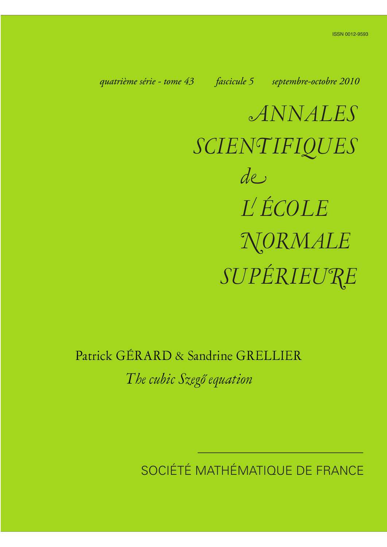*quatrième série - tome 43 fascicule 5 septembre-octobre 2010*

*ANNALES SCIENTIFIQUES SUPÉRIEURE de L ÉCOLE NORMALE*

Patrick GÉRARD & Sandrine GRELLIER

*The cubic Szegő equation*

SOCIÉTÉ MATHÉMATIQUE DE FRANCE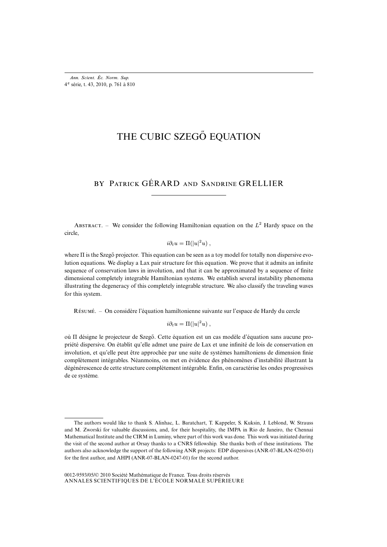# THE CUBIC SZEGŐ EQUATION

# BY PATRICK GÉRARD AND SANDRINE GRELLIER

ABSTRACT. – We consider the following Hamiltonian equation on the  $L^2$  Hardy space on the circle,

$$
i\partial_t u = \Pi(|u|^2 u) ,
$$

where Π is the Szegő projector. This equation can be seen as a toy model for totally non dispersive evolution equations. We display a Lax pair structure for this equation. We prove that it admits an infinite sequence of conservation laws in involution, and that it can be approximated by a sequence of finite dimensional completely integrable Hamiltonian systems. We establish several instability phenomena illustrating the degeneracy of this completely integrable structure. We also classify the traveling waves for this system.

R. – On considère l'équation hamiltonienne suivante sur l'espace de Hardy du cercle

$$
i\partial_t u = \Pi(|u|^2 u) ,
$$

où Π désigne le projecteur de Szegő. Cette équation est un cas modèle d'équation sans aucune propriété dispersive. On établit qu'elle admet une paire de Lax et une infinité de lois de conservation en involution, et qu'elle peut être approchée par une suite de systèmes hamiltoniens de dimension finie complètement intégrables. Néanmoins, on met en évidence des phénomènes d'instabilité illustrant la dégénérescence de cette structure complètement intégrable. Enfin, on caractérise les ondes progressives de ce système.

The authors would like to thank S. Alinhac, L. Baratchart, T. Kappeler, S. Kuksin, J. Leblond, W. Strauss and M. Zworski for valuable discussions, and, for their hospitality, the IMPA in Rio de Janeiro, the Chennai Mathematical Institute and the CIRM in Luminy, where part of this work was done. This work was initiated during the visit of the second author at Orsay thanks to a CNRS fellowship. She thanks both of these institutions. The authors also acknowledge the support of the following ANR projects: EDP dispersives (ANR-07-BLAN-0250-01) for the first author, and AHPI (ANR-07-BLAN-0247-01) for the second author.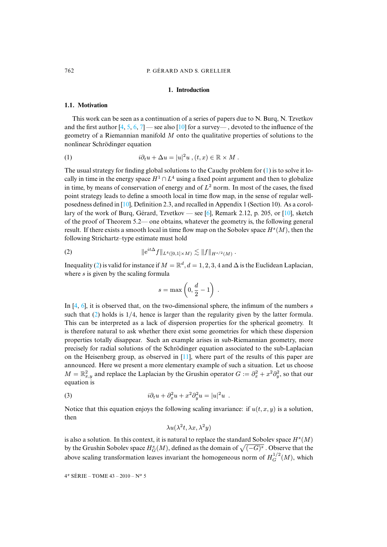#### **1. Introduction**

#### **1.1. Motivation**

This work can be seen as a continuation of a series of papers due to N. Burq, N. Tzvetkov and the first author  $[4, 5, 6, 7]$  — see also  $[10]$  for a survey—, devoted to the influence of the geometry of a Riemannian manifold M onto the qualitative properties of solutions to the nonlinear Schrödinger equation

(1) 
$$
i\partial_t u + \Delta u = |u|^2 u, (t, x) \in \mathbb{R} \times M.
$$

The usual strategy for finding global solutions to the Cauchy problem for  $(1)$  is to solve it locally in time in the e[nerg](#page-49-0)y space  $H^1 \cap L^4$  using a fixed point argument and then to globalize in time, by means of conservation of energy and of  $L^2$  $L^2$  norm. In most of the cas[es, t](#page-49-0)he fixed point strategy leads to define a smooth local in time flow map, in the sense of regular wellposedness defined in [10], Definition 2.3, and recalled in Appendix 1 (Section 10). As a corollary of the work of Burg, Gérard, Tzvetkov — see [6], Remark 2.12, p. 205, or  $[10]$ , sketch of the proof of Theorem 5.2— one obtains, whatever the geometry is, the following general result. If there exists a smooth local in time flow map on the Sobolev space  $H<sup>s</sup>(M)$ , then the following S[tri](#page-2-0)chartz–type estimate must hold

(2) 
$$
\|e^{it\Delta} f\|_{L^4([0,1]\times M)} \lesssim \|f\|_{H^{s/2}(M)}.
$$

Inequality (2) is valid for instance if  $M = \mathbb{R}^d$ ,  $d = 1, 2, 3, 4$  and  $\Delta$  is the Euclidean Laplacian, wh[ere](#page-48-1)  $s$  is given by the scaling formula

<span id="page-2-0"></span>
$$
s = \max\left(0, \frac{d}{2} - 1\right) \; .
$$

In [4, 6], it is observed that, on the two-dimensional sphere, the infimum of the numbers s such that  $(2)$  holds is  $1/4$ , hence is larger than the regularity given by the latter formula. This can be interpreted as a lack of dispersion properties for the spherical geometry. It is therefore natural to ask whether there e[xist](#page-49-1) some geometries for which these dispersion properties totally disappear. Such an example arises in sub-Riemannian geometry, more precisely for radial solutions of the Schrödinger equation associated to the sub-Laplacian on the Heisenberg group, as observed in [11], where part of the results of this paper are announced. Here we present a more elementary example of such a situation. Let us choose  $M = \mathbb{R}^2_{x,y}$  and replace the Laplacian by the Grushin operator  $G := \partial_x^2 + x^2 \partial_y^2$ , so that our equation is

(3) 
$$
i\partial_t u + \partial_x^2 u + x^2 \partial_y^2 u = |u|^2 u.
$$

Notice that this equation enjoys the following scaling invariance: if  $u(t, x, y)$  is a solution, then

<span id="page-2-1"></span>
$$
\lambda u(\lambda^2 t, \lambda x, \lambda^2 y)
$$

is also a solution. In this context, it is natural to replace the standard Sobolev space  $H<sup>s</sup>(M)$ by the Grushin Sobolev space  $H_G^s(M)$ , defined as the domain of  $\sqrt{(-G)^s}$  . Observe that the above scaling transformation leaves invariant the homogeneous norm of  $H_G^{1/2}(M)$ , which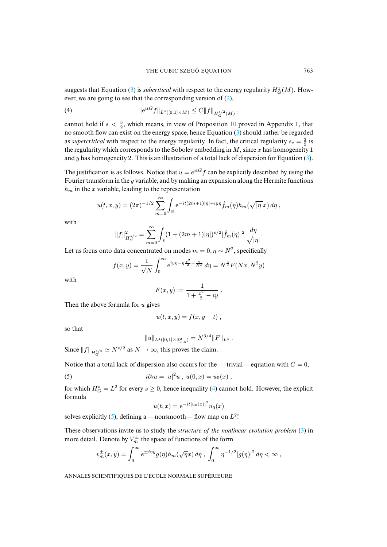<span id="page-3-0"></span>suggests that Equation (3) is *subcritical* with respect to the energy regularity  $H_G^1(M)$ . However, we are going to see that the corresponding version of ([2\),](#page-44-0)

(4) 
$$
\|e^{itG}f\|_{L^4([0,1]\times M)} \leq C \|f\|_{H_G^{s/2}(M)},
$$

cannot hold if  $s < \frac{3}{2}$ , which means, in view of Proposition 10 proved in Appendix 1, that no smooth flow can exist on the energy space, hence Equation (3) should rather be regar[ded](#page-2-1) as *supercritical* with respect to the energy regularity. In fact, the critical regularity  $s_c = \frac{3}{2}$  is the regularity which corresponds to the Sobolev embedding in  $M$ , since  $x$  has homogeneity 1 and y has homogeneity 2. This is an illustration of a total lack of dispersion for Equation  $(3)$ .

The justification is as follows. Notice that  $u = e^{itG} f$  can be explicitly described by using the Fourier transform in the y variable, and by making an expansion along the Hermite functions  $h<sub>m</sub>$  in the x variable, leading to the representation

$$
u(t,x,y) = (2\pi)^{-1/2} \sum_{m=0}^{\infty} \int_{\mathbb{R}} e^{-it(2m+1)|\eta|+iy\eta} \hat{f}_m(\eta) h_m(\sqrt{|\eta|}x) d\eta,
$$

with

$$
||f||_{H^{s/2}_G}^2 = \sum_{m=0}^{\infty} \int_{\mathbb{R}} (1 + (2m+1)|\eta|)^{s/2} |\hat{f}_m(\eta)|^2 \frac{d\eta}{\sqrt{|\eta|}}.
$$

Let us focus onto data concentrated on modes  $m = 0, \eta \sim N^2$ , specifically

$$
f(x,y) = \frac{1}{\sqrt{N}} \int_0^\infty e^{iy\eta - \eta \frac{x^2}{2} - \frac{\eta}{N^2}} d\eta = N^{\frac{3}{2}} F(Nx, N^2 y)
$$

with

$$
F(x,y) := \frac{1}{1 + \frac{x^2}{2} - iy} \; .
$$

Then the above formula for  $u$  gives

$$
u(t,x,y)=f(x,y-t) ,
$$

so that

<span id="page-3-1"></span>
$$
||u||_{L^4([0,1]\times \mathbb{R}^2_{x,y})}=N^{3/4}||F||_{L^4}.
$$

Since  $||f||_{H_G^{s/2}} \simeq N^{s/2}$  as  $N \to \infty$ , this proves the claim.

Notice that a total lack of dispersion also occurs for t[he](#page-3-0) — trivial— equation with  $G = 0$ ,

(5) 
$$
i\partial_t u = |u|^2 u , \ u(0,x) = u_0(x) ,
$$

for which  $H_G^s = L^2$  $H_G^s = L^2$  $H_G^s = L^2$  for every  $s \ge 0$ , hence inequality (4) cannot hold. However, the explicit formula

$$
u(t,x) = e^{-it|u_0(x)|^2} u_0(x)
$$

solves explicitly (5), defining a —nonsmooth— flow map on  $L^2$ !

These observations invite us to study the *structure of the nonlinear evolution problem* (3) in more detail. Denote by  $V_m^{\pm}$  the space of functions of the form

$$
v_m^{\pm}(x,y) = \int_0^\infty e^{\pm i\eta y} g(\eta) h_m(\sqrt{\eta}x) d\eta , \int_0^\infty \eta^{-1/2} |g(\eta)|^2 d\eta < \infty ,
$$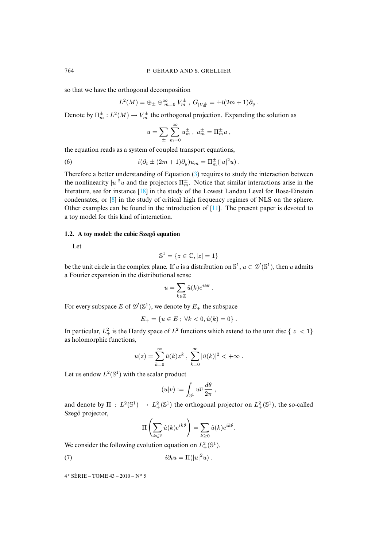so that we have the orthogonal decomposition

$$
L^2(M) = \bigoplus_{\pm} \bigoplus_{m=0}^{\infty} V_m^{\pm}, G_{|V_m^{\pm}} = \pm i(2m+1)\partial_y.
$$

Denote by  $\Pi_m^{\pm}: L^2(M) \to V_m^{\pm}$  the orthogonal projection. Expanding the solution as

$$
u = \sum_{\pm} \sum_{m=0}^{\infty} u_m^{\pm} , \ u_m^{\pm} = \Pi_m^{\pm} u ,
$$

the equation reads as a system of coupled trans[po](#page-2-1)rt equations,

(6) 
$$
i(\partial_t \pm (2m+1)\partial_y)u_m = \Pi_m^{\pm}(|u|^2u).
$$

Therefore a bett[er](#page-49-3) understanding of Equation (3) requires to study the interaction between the nonlinearity  $|u|^2u$  and the projectors  $\Pi_m^{\pm}$ . Notic[e th](#page-49-1)at similar interactions arise in the literature, see for instance [18] in the study of the Lowest Landau Level for Bose-Einstein condensates, or [8] in the study of critical high frequency regimes of NLS on the sphere. Other examples can be found in the introduction of  $[11]$ . The present paper is devoted to a toy model for this kind of interaction.

## **1.2.** A toy model: the cubic Szegő equation

Let

$$
\mathbb{S}^1 = \{ z \in \mathbb{C}, |z| = 1 \}
$$

be the unit circle in the complex plane. If u is a distribution on  $\mathbb{S}^1$ ,  $u \in \mathcal{D}'(\mathbb{S}^1)$ , then u admits a Fourier expansion in the distributional sense

$$
u=\sum_{k\in\mathbb{Z}}\hat{u}(k)e^{ik\theta}.
$$

For every subspace E of  $\mathcal{D}'(\mathbb{S}^1)$ , we denote by  $E_+$  the subspace

$$
E_{+} = \{u \in E \; ; \; \forall k < 0, \hat{u}(k) = 0\} .
$$

In particular,  $L_+^2$  is the Hardy space of  $L^2$  functions which extend to the unit disc  $\{|z| < 1\}$ as holomorphic functions,

$$
u(z) = \sum_{k=0}^{\infty} \hat{u}(k) z^k , \sum_{k=0}^{\infty} |\hat{u}(k)|^2 < +\infty .
$$

Let us endow  $L^2(\mathbb{S}^1)$  with the scalar product

$$
(u|v) := \int_{\mathbb{S}^1} u\overline{v} \, \frac{d\theta}{2\pi} \, ,
$$

and denote by  $\Pi : L^2(\mathbb{S}^1) \to L^2_+(\mathbb{S}^1)$  the orthogonal projector on  $L^2_+(\mathbb{S}^1)$ , the so-called Szegő projector,

<span id="page-4-0"></span>
$$
\Pi\left(\sum_{k\in\mathbb{Z}}\hat{u}(k)e^{ik\theta}\right) = \sum_{k\geq 0}\hat{u}(k)e^{ik\theta}.
$$

We consider the following evolution equation on  $L^2_+(\mathbb{S}^1)$ ,

(7) 
$$
i\partial_t u = \Pi(|u|^2 u) .
$$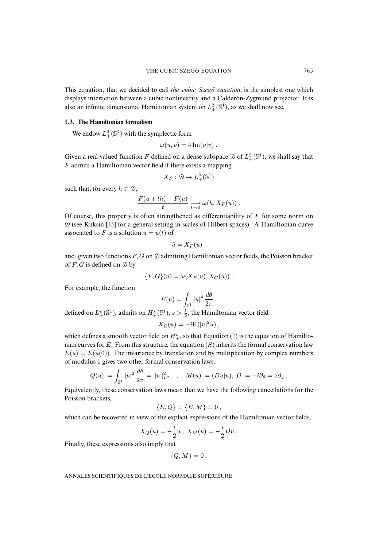This equation, that we decided to call *the cubic Szegő equation*, is the simplest one which displays interaction between a cubic nonlinearity and a Calderón-Zygmund projector. It is also an infinite dimensional Hamiltonian system on  $L^2_+(\mathbb{S}^1)$ , as we shall now see.

#### **1.3. The Hamiltonian formalism**

We endow  $L^2_+(\mathbb{S}^1)$  with the symplectic form

$$
\omega(u,v) = 4 \operatorname{Im}(u|v) .
$$

Given a real valued function F defined on a dense subspace  $\mathcal{D}$  of  $L^2_+(\mathbb{S}^1)$ , we shall say that F admits a Hamiltonian vector field if there exists a mapping

$$
X_F:\mathcal{D}\to L^2_+(\mathbb{S}^1)
$$

such that, for every  $h \in \mathcal{D}$ ,

$$
\frac{F(u+th)-F(u)}{t}\xrightarrow[t\to 0]{}\omega(h,X_F(u))\ .
$$

Of course, this property is often strengthened as differentiability of  $F$  for some norm on  $\mathcal D$  (see Kuksin [15] for a general setting in scales of Hilbert spaces). A Hamiltonian curve associated to F is a solution  $u = u(t)$  of

$$
\dot{u}=X_F(u)\ ,
$$

and, given two functions  $F, G$  on  $\mathcal D$  admitting Hamiltonian vector fields, the Poisson bracket of  $F$ ,  $G$  is defined on  $\emptyset$  by

$$
\{F,G\}(u) = \omega(X_F(u), X_G(u))\ .
$$

For example, the function

$$
E(u) = \int_{\mathbb{S}^1} |u|^4 \, \frac{d\theta}{2\pi} \, ,
$$

defined on  $L_+^4(\mathbb{S}^1)$ , admits on  $H_+^s(\mathbb{S}^1)$ ,  $s > \frac{1}{2}$ , the Hamiltoni[an](#page-4-0) vector field

$$
X_E(u) = -i\Pi(|u|^2u) ,
$$

which defines a smooth vector field on  $H^s_+$ , so that Equation (7) is the equation of Hamiltonian curves for E. From this structure, the equation  $(S)$  inherits the formal conservation law  $E(u) = E(u(0))$ . The invariance by translation and by multiplication by complex numbers of modulus 1 gives two other formal conservation laws,

$$
Q(u) := \int_{\mathbb{S}^1} |u|^2 \, \frac{d\theta}{2\pi} = \|u\|_{L^2}^2 \quad , \quad M(u) := (Du|u), \ D := -i\partial_\theta = z\partial_z \; .
$$

Equivalently, these conservation laws mean that we have the following cancellations for the Poisson brackets,

$$
\{E,Q\} = \{E,M\} = 0\;,
$$

which can be recovered in view of the explicit expressions of the Hamiltonian vector fields,

$$
X_Q(u) = -\frac{i}{2}u \ , \ X_M(u) = -\frac{i}{2}Du \ .
$$

Finally, these expressions also imply that

$$
\{Q,M\}=0.
$$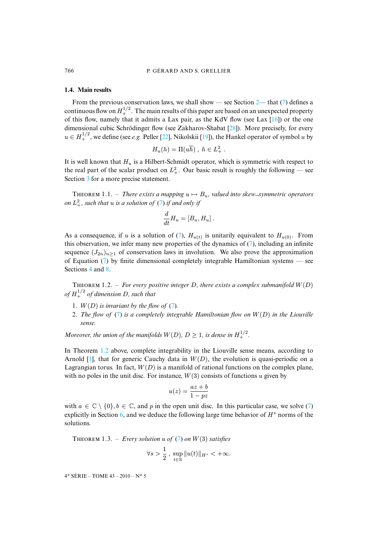#### **1.4. Main results**

From the previous conservation laws, we shall show — s[ee S](#page-50-0)ection 2— that (7) defines a continuous flow on  $H^{1/2}_+$ . The main [res](#page-49-4)ults of this [pape](#page-49-5)r are based on an unexpected property of this flow, namely that it admits a Lax pair, as the KdV flow (see Lax [16]) or the one dimensional cubic Schrödinger flow (see Zakharov-Shabat [28]). More precisely, for every  $u \in H_+^{1/2}$ , we define (see *e.g.* Peller [22], Nikolskii [19]), the Hankel operator of symbol u by

$$
H_u(h) = \Pi(u\overline{h}), h \in L^2_+.
$$

It is well known that  $H_u$  is a Hilbert-Schmidt operator, which is symmetric with respect to the real part of the scalar product on  $L^2_+$ . Our basic result is roughly the following — see Section 3 for a more precise state[men](#page-4-0)t.

THEOREM 1.1. – *There exists a mapping*  $u \mapsto B_u$ , valued into skew-symmetric operators *on*  $L^2_+$ *, such that u is a solution of* (7) *if and only if* 

$$
\frac{d}{dt}H_u=[B_u,H_u].
$$

<span id="page-6-1"></span>As a consequ[en](#page-4-0)ce, if u is a solution of (7),  $H_{u(t)}$  is unitarily equivalent to  $H_{u(0)}$ . From this obs[erv](#page-13-0)atio[n,](#page-28-0) we infer many new properties of the dynamics of  $(7)$ , including an infinite sequence  $(J_{2n})_{n\geq 1}$  of conservation laws in involution. We also prove the approximation of Equation (7) by finite dimensional completely integrable Hamiltonian systems — see Sections 4 and 8.

THEOREM 1.2. – For every positive [in](#page-4-0)teger D, there exists a complex submanifold  $W(D)$ *of* H 1/2 <sup>+</sup> *of dimensi[on](#page-4-0)* D*, such that*

- 1.  $W(D)$  *is invariant by the flow of*  $(7)$ *.*
- 2. *The flow of* (7) *is a completely integrable Hamiltonian flow on* W(D) *in the Liouville sense.*

*Moreove[r,](#page-48-2) the union of the manifolds*  $W(D)$ ,  $D \geq 1$ , is dense in  $H_+^{1/2}$ .

In Theorem 1.2 above, complete integrability in the Liouville sense means, according to Arnold [1], that for generic Cauchy data in  $W(D)$ , the evolution is quasi-periodic on a Lagrangian torus. In fact,  $W(D)$  is a manifold of rational functions on the complex plane, with no poles in the unit disc. For instance,  $W(3)$  consists of functions u given by

$$
u(z) = \frac{az + b}{1 - pz}
$$

<span id="page-6-0"></span>with  $a \in \mathbb{C} \setminus \{0\}, b \in \mathbb{C}$ , and p in the open unit disc. In this particular case, we solve (7) explicitly in Section 6, and we deduce th[e fo](#page-4-0)llowing large time behavior of  $H<sup>s</sup>$  norms of the solutions.

THEOREM 1.3. – *Every solution*  $u$  of (7) on  $W(3)$  satisfies

$$
\forall s > \frac{1}{2}, \sup_{t \in \mathbb{R}} \|u(t)\|_{H^s} < +\infty.
$$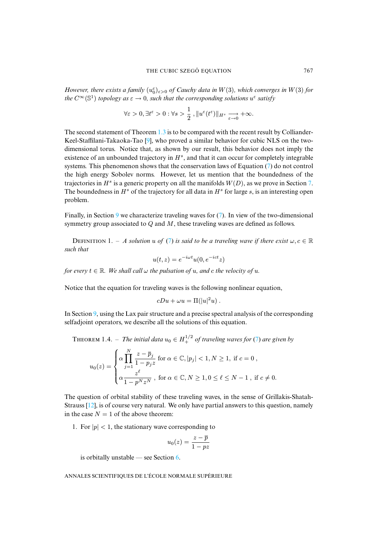*However, there exists a family*  $(u_0^{\varepsilon})_{\varepsilon>0}$  *of Cauchy data in*  $W(3)$ *, which converges in*  $W(3)$  *for the*  $C^{\infty}(\mathbb{S}^1)$  *topology as*  $\varepsilon \to 0$ *, such that the corresponding solutions*  $u^{\varepsilon}$  *satisfy* 

$$
\forall \varepsilon > 0, \exists t^{\varepsilon} > 0 : \forall s > \frac{1}{2}, ||u^{\varepsilon}(t^{\varepsilon})||_{H^{s}} \xrightarrow[\varepsilon \to 0]{} + \infty.
$$

The second statement of Theorem 1.3 is to be compared with the recent result by Colliander-Keel-Staffilani-Takaoka-Tao [9], who proved a similar behavior for cubic [N](#page-4-0)LS on the twodimensional torus. Notice that, as shown by our result, this behavior does not imply the existence of an unbounded trajectory in  $H^s$ , and that it can occur for completely integra[ble](#page-26-0) systems. This phenomenon shows that the conservation laws of Equation (7) do not control the high energy Sobolev norms. However, let us mention that the boundedness of the trajectories in  $H^s$  is a generic property on all the manifolds  $W(D)$ , as we prove in Section 7. The boundedness [in](#page-33-0)  $H^s$  $H^s$  of the trajectory for all data in  $H^s$  for large s, is an interesting open problem.

<span id="page-7-0"></span>Finally, in Section 9 we characterize t[rav](#page-4-0)eling waves for  $(7)$ . In view of the two-dimensional symmetry group associated to  $Q$  and  $M$ , these traveling waves are defined as follows.

DEFINITION 1. – *A solution* u of (7) is said to be a traveling wave if there exist  $\omega, c \in \mathbb{R}$ *such that*

$$
u(t, z) = e^{-i\omega t} u(0, e^{-ict} z)
$$

*for every*  $t \in \mathbb{R}$ *. We shall call*  $\omega$  *the pulsation of*  $u$ *, and*  $c$  *the velocity of*  $u$ *.* 

Notice th[at t](#page-33-0)he equation for traveling waves is the following nonlinear equation,

$$
cDu + \omega u = \Pi(|u|^2 u) .
$$

In Section 9, using the Lax pair structure and a precise spectral analysi[s o](#page-4-0)f the corresponding selfadjoint operators, we describe all the solutions of this equation.

**THEOREM** 1.4. – The initial data  $u_0 \in H_+^{1/2}$  of traveling waves for (7) are given by

$$
u_0(z) = \begin{cases} \alpha \prod_{j=1}^N \frac{z - \overline{p}_j}{1 - p_j z} \text{ for } \alpha \in \mathbb{C}, |p_j| < 1, N \ge 1, \text{ if } c = 0, \\ \alpha \frac{z^{\ell}}{1 - p^N z^N}, \text{ for } \alpha \in \mathbb{C}, N \ge 1, 0 \le \ell \le N - 1, \text{ if } c \ne 0. \end{cases}
$$

The question of orbital stability of these traveling waves, in the sense of Grillakis-Shatah-Strauss  $[12]$ , is of course very natural. We only have partial answers to this question, namely in the case  $N = 1$  of the above theorem:

1. For  $|p| < 1$ , the stationary wave c[orr](#page-22-0)esponding to

$$
u_0(z) = \frac{z - \overline{p}}{1 - pz}
$$

is orbitally unstable — see Section  $6$ .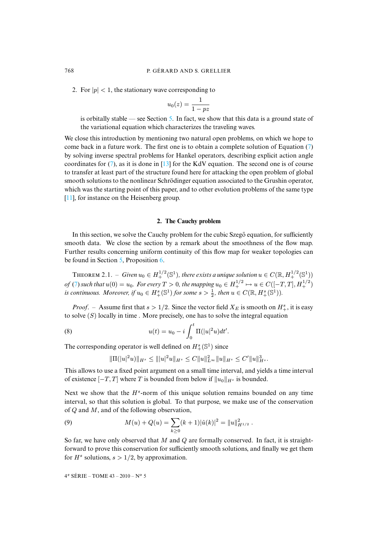2. For  $|p| < 1$ , the stationary wave [co](#page-19-0)rresponding to

$$
u_0(z)=\frac{1}{1-pz}
$$

is orbitally stable — see Section 5. In fact, we show that this data is a ground state [of](#page-4-0) the variational equation which characterizes the traveling waves.

We close this int[ro](#page-4-0)duction by menti[oni](#page-49-7)ng two natural open problems, on which we hope to come back in a future work. The first one is to obtain a complete solution of Equation (7) by solving inverse spectral problems for Hankel operators, describing explicit action angle coordinates for  $(7)$ , as it is done in [13] for the KdV equation. The second one is of course [to t](#page-49-1)ransfer at least part of the structure found here for attacking the open problem of global smooth solutions to the nonlinear Schrödinger equation associated to the Grushin operator, which was the starting point of this paper, and to other evolution problems of the same type [11], for instance on the Heisenberg group.

#### **2. The Cauchy problem**

<span id="page-8-1"></span>In this section, w[e s](#page-19-0)olve the Cau[ch](#page-20-0)y problem for the cubic Szego equation, for sufficiently smooth data. We close the section by a remark about the smoothness of the flow map. Further results concerning uniform continuity of this flow map for weaker topologies can be [fou](#page-4-0)nd in Section 5, Proposition 6.

THEOREM 2.1. – *Given*  $u_0 \in H_+^{1/2}(\mathbb{S}^1)$ , there exists a unique solution  $u \in C(\mathbb{R}, H_+^{1/2}(\mathbb{S}^1))$ *of* (7) such that  $u(0) = u_0$ . For every  $T > 0$ , the mapping  $u_0 \in H_+^{1/2} \mapsto u \in C([-T,T],H_+^{1/2})$ *is continuous. Moreover, if*  $u_0 \in H^s_+(\mathbb{S}^1)$  *for some*  $s > \frac{1}{2}$ *, then*  $u \in C(\mathbb{R}, H^s_+(\mathbb{S}^1))$ *.* 

*Proof.* – Assume first that  $s > 1/2$ . Since the vector field  $X_E$  is smooth on  $H^s_+$ , it is easy to solve  $(S)$  locally in time. More precisely, one has to solve the integral equation

(8) 
$$
u(t) = u_0 - i \int_0^t \Pi(|u|^2 u) dt'.
$$

The corresponding operator is well defined on  $H^s_+(\mathbb{S}^1)$  since

<span id="page-8-0"></span>
$$
\|\Pi(|u|^2u)\|_{H^s}\leq \||u|^2u\|_{H^s}\leq C\|u\|_{L^\infty}^2\|u\|_{H^s}\leq C'\|u\|_{H^s}^3.
$$

This allows to use a fixed point argument on a small time interval, and yields a time interval of existence  $[-T, T]$  where T is bounded from below if  $||u_0||_{H^s}$  is bounded.

Next we show that the  $H^s$ -norm of this unique solution remains bounded on any time interval, so that this solution is global. To that purpose, we make use of the conservation of Q and M, and of the following observation,

(9) 
$$
M(u) + Q(u) = \sum_{k \geq 0} (k+1) |\hat{u}(k)|^2 = ||u||_{H^{1/2}}^2.
$$

So far, we have only observed that  $M$  and  $Q$  are formally conserved. In fact, it is straightforward to prove this conservation for sufficiently smooth solutions, and finally we get them for  $H^s$  solutions,  $s > 1/2$ , by approximation.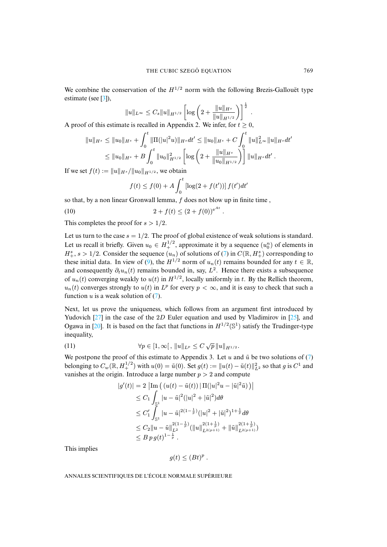We combine the conservation of the  $H^{1/2}$  norm with the following Brezis-Gallouët type estimate (see [3]),

$$
||u||_{L^{\infty}} \leq C_s ||u||_{H^{1/2}} \left[ \log \left( 2 + \frac{||u||_{H^s}}{||u||_{H^{1/2}}} \right) \right]^{\frac{1}{2}}
$$

.

A proof of this estimate is recalled in Appendix 2. We infer, for  $t \ge 0$ ,

$$
||u||_{H^s} \le ||u_0||_{H^s} + \int_0^t ||\Pi(|u|^2 u)||_{H^s} dt' \le ||u_0||_{H^s} + C \int_0^t ||u||_{L^\infty}^2 ||u||_{H^s} dt'
$$
  

$$
\le ||u_0||_{H^s} + B \int_0^t ||u_0||_{H^{1/2}}^2 \left[ \log \left( 2 + \frac{||u||_{H^s}}{||u_0||_{H^{1/2}}} \right) \right] ||u||_{H^s} dt'.
$$

If we set  $f(t) := ||u||_{H^s}/||u_0||_{H^{1/2}}$ , we obtain

<span id="page-9-0"></span>
$$
f(t) \le f(0) + A \int_0^t \left[ \log(2 + f(t')) \right] f(t') dt'
$$

.

so that, by a non linear Gronwall lemma,  $f$  does not blow up in finite time,

(10) 
$$
2 + f(t) \le (2 + f(0))^{e^{At}}
$$

This completes the proof for  $s > 1/2$ .

Let us turn to the case  $s = 1/2$ [.](#page-8-0) The proof of global existence of weak solutions is standard. Let us recall it briefly. Given  $u_0 \in H_+^{1/2}$ , approximate it by a sequence  $(u_0^n)$  of elements in  $H^s_+, s > 1/2$ . Consider the sequence  $(u_n)$  of solutions of  $(7)$  in  $C(\mathbb{R}, H^s_+)$  corresponding to these initial data. In view of (9), the  $H^{1/2}$  norm of  $u_n(t)$  remains bounded for any  $t \in \mathbb{R}$ , and co[ns](#page-4-0)equently  $\partial_t u_n(t)$  remains bounded in, say,  $L^2$ . Hence there exists a subsequence of  $u_n(t)$  converging weakly to  $u(t)$  in  $H^{1/2}$ , locally uniformly in t. By the Rellich theorem,  $u_n(t)$  conv[erg](#page-49-8)es strongly to  $u(t)$  in  $L^p$  for every  $p < \infty$ , and it is easy to check th[at s](#page-49-9)uch a function  $u$  [is a](#page-49-10) weak solution of  $(7)$ .

Next, let us prove the uniqueness, which follows from an argument first introduced by Yudovich  $[27]$  in the case of the  $2D$  Euler equation and used by Vladimirov in [25], and Ogawa in [20]. It is based on the fact that functions in  $H^{1/2}(\mathbb{S}^1)$  satisfy the Trudinger-ty[pe](#page-4-0) inequality,

(11) 
$$
\forall p \in [1, \infty[, \|u\|_{L^p} \le C \sqrt{p} \|u\|_{H^{1/2}}.
$$

We postpone the proof of this estimate to Appendix 3. Let u and  $\tilde{u}$  be two solutions of (7) belonging to  $C_w(\mathbb{R}, H_+^{1/2})$  with  $u(0) = \tilde{u}(0)$ . Set  $g(t) := ||u(t) - \tilde{u}(t)||_{L^2}^2$  so that g is  $C^1$  and vanishes at the origin. Introduce a large number  $p > 2$  and compute

$$
|g'(t)| = 2 \left| \text{Im} \left( (u(t) - \tilde{u}(t)) \right| \Pi(|u|^2 u - |\tilde{u}|^2 \tilde{u}) \right) \right|
$$
  
\n
$$
\leq C_1 \int_{\mathbb{S}^1} |u - \tilde{u}|^2 (|u|^2 + |\tilde{u}|^2) d\theta
$$
  
\n
$$
\leq C'_1 \int_{\mathbb{S}^1} |u - \tilde{u}|^{2(1 - \frac{1}{p})} (|u|^2 + |\tilde{u}|^2)^{1 + \frac{1}{p}} d\theta
$$
  
\n
$$
\leq C_2 \|u - \tilde{u}\|_{L^2}^{2(1 - \frac{1}{p})} (||u||_{L^2(p+1)}^{2(1 + \frac{1}{p})} + ||\tilde{u}||_{L^2(p+1)}^{2(1 + \frac{1}{p})})
$$
  
\n
$$
\leq B p g(t)^{1 - \frac{1}{p}}.
$$

This implies

$$
g(t) \leq (Bt)^p.
$$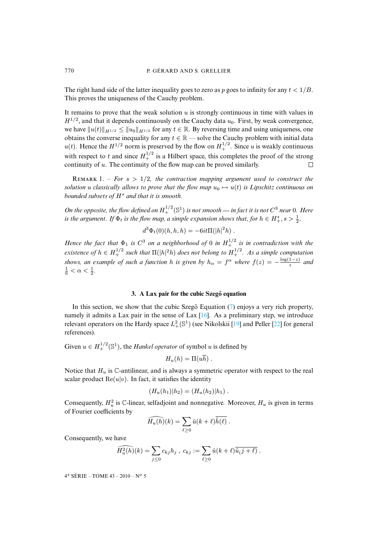The right hand side of the latter inequality goes to zero as p goes to infinity for any  $t < 1/B$ . This proves the uniqueness of the Cauchy problem.

It remains to prove that the weak solution  $u$  is strongly continuous in time with values in  $H^{1/2}$ , and that it depends continuously on the Cauchy data  $u_0$ . First, by weak convergence, we have  $||u(t)||_{H^{1/2}} \le ||u_0||_{H^{1/2}}$  for any  $t \in \mathbb{R}$ . By reversing time and using uniqueness, one obtains the converse inequality for any  $t \in \mathbb{R}$  — solve the Cauchy problem with initial data  $u(t)$ . Hence the  $H^{1/2}$  norm is preserved by the flow on  $H^{1/2}_+$ . Since u is weakly continuous with respect to t and since  $H_+^{1/2}$  is a Hilbert space, this completes the proof of the strong continuity of  $u$ . The continuity of the flow map can be proved similarly.  $\Box$ 

REMARK 1. – *For*  $s > 1/2$ , the contraction mapping argument used to construct the *solution* u *classically allows to prove that the flow map*  $u_0 \mapsto u(t)$  *is Lipschitz continuous on bounded subsets of*  $H^s$  *and that it is smooth.* 

On the opposite, the flow defined on  $H_+^{1/2}(\mathbb{S}^1)$  is not smooth — in fact it is not  $C^3$  near 0. Here *is the argument.* If  $\Phi_t$  *is the flow map, a simple expansion shows that, for*  $h \in H^s_+, s > \frac{1}{2}$ *,* 

$$
d^3\Phi_t(0)(h,h,h) = -6it\Pi(|h|^2h) .
$$

<span id="page-10-0"></span>*Hence the fact that*  $\Phi_1$  *is*  $C^3$  *on a neighborhood of* 0 *in*  $H_+^{1/2}$  *is in contradiction with the existence of*  $h \in H_+^{1/2}$  such that  $\Pi(|h|^2h)$  does not belong to  $H_+^{1/2}$ . As a simple computation *shows, an example of such a function* h *is given by*  $h_{\alpha} = f^{\alpha}$  *where*  $f(z) = -\frac{\log(1-z)}{z}$  $rac{1-z}{z}$  and  $\frac{1}{6} < \alpha < \frac{1}{2}$ .

#### **3. A Lax pair for the cub[ic S](#page-49-11)zego eq[uatio](#page-49-5)n ˝**

In this section, we show that the cubic Szeg $\ddot{o}$  Equation (7) enjoys a very rich property, namely it admits a Lax pair in the sense of Lax [16]. As a preliminary step, we introduce relevant operators on the Hardy space  $L^2_+(\mathbb{S}^1)$  (see Nikolskii [19] and Peller [22] for general references).

Given  $u \in H_+^{1/2}(\mathbb{S}^1)$ , the *Hankel operator* of symbol u is defined by

$$
H_u(h) = \Pi(u\overline{h}) .
$$

Notice that  $H_u$  is  $\mathbb C$ -antilinear, and is always a symmetric operator with respect to the real scalar product  $\text{Re}(u|v)$ . In fact, it satisfies the identity

$$
(H_u(h_1)|h_2)=(H_u(h_2)|h_1).
$$

Consequently,  $H_u^2$  is  $\mathbb C$ -linear, selfadjoint and nonnegative. Moreover,  $H_u$  is given in terms of Fourier coefficients by

$$
\widehat{H_u(h)}(k) = \sum_{\ell \geq 0} \hat{u}(k+\ell) \overline{\hat{h}(\ell)}.
$$

Consequently, we have

$$
\widehat{H_u^2(h)}(k) = \sum_{j\leq 0} c_{kj} h_j , c_{kj} := \sum_{\ell \geq 0} \hat{u}(k+\ell) \overline{\hat{u}(j+\ell)} .
$$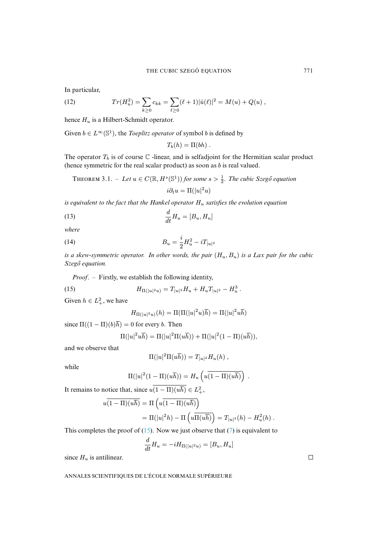<span id="page-11-2"></span>In particular,

(12) 
$$
Tr(H_u^2) = \sum_{k\geq 0} c_{kk} = \sum_{\ell\geq 0} (\ell+1) |\hat{u}(\ell)|^2 = M(u) + Q(u) ,
$$

hence  $H_u$  is a Hilbert-Schmidt operator.

Given  $b \in L^{\infty}(\mathbb{S}^1)$ , the *Toeplitz operator* of symbol *b* is defined by

$$
T_b(h)=\Pi(bh)\ .
$$

<span id="page-11-3"></span>The operator  $T_b$  is of course  $\mathbb C$  -linear, and is selfadjoint for the Hermitian scalar product (hence symmetric for the real scalar product) as soon as  $b$  is real valued.

THEOREM 3.1. – Let 
$$
u \in C(\mathbb{R}, H^s(\mathbb{S}^1))
$$
 for some  $s > \frac{1}{2}$ . The cubic Szegő equation

<span id="page-11-1"></span>
$$
i\partial_t u = \Pi(|u|^2 u)
$$

*is equivalent to the fact that the Hankel operator* H<sup>u</sup> *satisfies the evolution equation*

$$
\frac{d}{dt}H_u = [B_u, H_u]
$$

*where*

(14) 
$$
B_u = \frac{i}{2} H_u^2 - i T_{|u|^2}
$$

*is a skew-symmetric operator. In other words, the pair* (Hu, Bu) *is a Lax pair for the cubic Szegő equation.*

*Proof*. – Firstly, we establish the following identity,

(15) 
$$
H_{\Pi(|u|^2u)} = T_{|u|^2}H_u + H_u T_{|u|^2} - H_u^3.
$$

Given  $h \in L^2_+$ , we have

<span id="page-11-0"></span>
$$
H_{\Pi(|u|^2u)}(h) = \Pi(\Pi(|u|^2u)\overline{h}) = \Pi(|u|^2u\overline{h})
$$

since  $\Pi((1 - \Pi)(b)\overline{h}) = 0$  for every b. Then

$$
\Pi(|u|^2u\overline{h})=\Pi(|u|^2\Pi(u\overline{h}))+\Pi(|u|^2(1-\Pi)(u\overline{h})),
$$

and we observe that

$$
\Pi(|u|^2\Pi(u\overline{h})) = T_{|u|^2}H_u(h) ,
$$

while

$$
\Pi(|u|^2(1-\Pi)(u\overline{h})) = H_u\left(u\overline{(1-\Pi)(u\overline{h})}\right) .
$$

It remains to notice that, since  $u(1 - \Pi)(u\overline{h}) \in L^2_+$ ,

$$
u(1-\Pi)(u\overline{h}) = \Pi\left(u(1-\Pi)(u\overline{h})\right)
$$
  
=  $\Pi(|u|^2 h) - \Pi\left(u\overline{\Pi(u\overline{h})}\right) = T_{|u|^2}(h) - H_u^2(h).$ 

This completes the proof of  $(15)$ . Now we just observe that  $(7)$  is equivalent to

$$
\frac{d}{dt}H_u = -iH_{\Pi(|u|^2u)} = [B_u, H_u]
$$

since  $H_u$  is antilinear.

ANNALES SCIENTIFIQUES DE L'ÉCOLE NORMALE SUPÉRIEURE

 $\Box$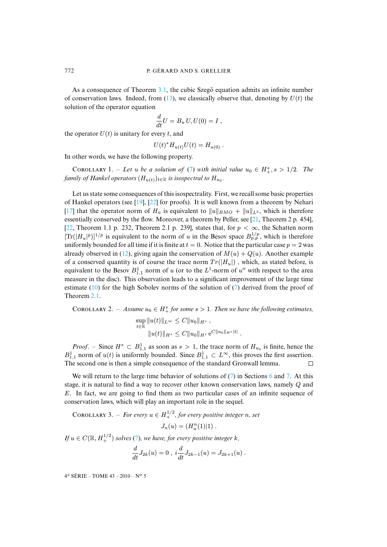As a consequence of Theorem 3.1, the cubic Szego equation admits an infinite number of conservation laws. Indeed, from  $(13)$ , we classically observe that, denoting by  $U(t)$  the solution of the operator equation

$$
\frac{d}{dt}U = B_u U, U(0) = I,
$$

<span id="page-12-0"></span>the operator  $U(t)$  is unitary for every t, and

$$
U(t)^* H_{u(t)} U(t) = H_{u(0)}.
$$

In other words, we have the following property.

COROLLARY 1. – Let u be a solution of (7) with initial value  $u_0 \in H^s_+, s > 1/2$ . The family of [H](#page-49-5)ankel operators  $(H_{u(t)})_{t\in \mathbb{R}}$  $(H_{u(t)})_{t\in \mathbb{R}}$  $(H_{u(t)})_{t\in \mathbb{R}}$  is isospectral to  $H_{u_0}.$ 

Let us state some consequences of this isospectrality. First, we reca[ll so](#page-49-12)me basic properties [of H](#page-49-4)ankel operators (see [19], [22] for proofs). It is well known from a theorem by Nehari [17] that the operator norm of  $H_u$  is equivalent to  $||u||_{BMO} + ||u||_{L^2}$ , which is therefore essentially conserved by the flow. Moreover, a theorem by Peller, see [21, Theorem 2 p. 454], [22, Theorem 1.1 p. [232](#page-11-2), Theorem 2.1 p. 239], states that, for  $p < \infty$ , the Schatten norm  $[\text{Tr}(|H_u|^p)]^{1/p}$  is equivalent to the norm of u in the Besov space  $B_{p,p}^{1/p}$ , which is therefore uniformly bounded for all time if it is finite at  $t = 0$ . Notice that the particular case  $p = 2$  was already observed in (12), giving again the conservation of  $M(u) + Q(u)$ . Another example of a cons[erve](#page-9-0)d quantity is of course the trace norm  $Tr(|H_u|)$  $Tr(|H_u|)$ , which, as stated before, is equivale[nt to](#page-8-1) the Besov  $B_{1,1}^1$  norm of u (or to the  $L^1$ -norm of u'' with respect to the area measure in the disc). This observation leads to a significant improvement of the large time estimate  $(10)$  for the high Sobolev norms of the solution of  $(7)$  derived from the proof of Theorem 2.1.

COROLLARY 2. – Assume  $u_0 \in H^s_+$  for some  $s > 1$ . Then we have the following estimates,  $\sup_{t \in \mathbb{R}} \|u(t)\|_{L^{\infty}} \leq C \|u_0\|_{H^s}$ ,  $||u(t)||_{H^s} \leq C||u_0||_{H^s} e^{C||u_0||_{H^s}|t|}.$ 

*Proof.* – Since  $H^s \subset B^1_{1,1}$  as soon as  $s > 1$ , the trace norm of  $H_{u_0}$  is finite, hence the  $B_{1,1}^1$  norm of  $u(t)$  is uniformly bounded. Since  $B_{1,1}^1 \subset L^\infty$ [, t](#page-4-0)his proves t[he](#page-22-0) first [as](#page-26-0)sertion. The second one is then a simple consequence of the standard Gronwall lemma.  $\Box$ 

<span id="page-12-1"></span>We will return to the large time behavior of solutions of  $(7)$  in Sections 6 and 7. At this stage, it is natural to find a way to recover other known conservation laws, namely Q and E. In fact, we are going to find them as two particular cases of an infinite sequence of conservation laws, which will play an important role in the sequel.

COROLLARY 3. – *For [ev](#page-4-0)ery*  $u \in H_+^{1/2}$ *, for every positive integer n*, *set* 

$$
J_n(u) = (H^n_u(1)|1) .
$$

If  $u \in C(\mathbb{R}, H_+^{1/2})$  solves (7), we have, for every positive integer k,

$$
\frac{d}{dt}J_{2k}(u) = 0 , i\frac{d}{dt}J_{2k-1}(u) = J_{2k+1}(u) .
$$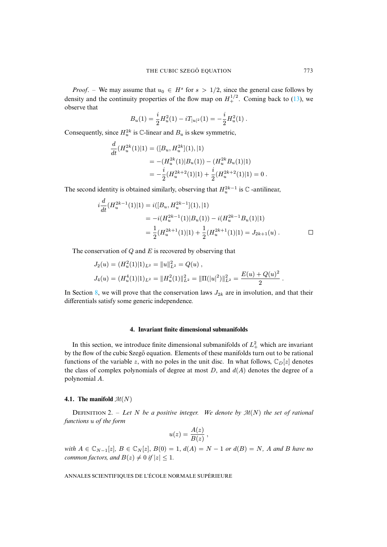*Proof.* – We may assume that  $u_0 \in H^s$  for  $s > 1/2$ , since the general case follows by density and the continuity properties of the flow map on  $H^{1/2}_+$ . Coming back to (13), we observe that

$$
B_u(1) = \frac{i}{2} H_u^2(1) - i T_{|u|^2}(1) = -\frac{i}{2} H_u^2(1) .
$$

Consequently, since  $H_u^{2k}$  is  $\mathbb C$ -linear and  $B_u$  is skew symmetric,

$$
\frac{d}{dt}(H_u^{2k}(1)|1) = ([B_u, H_u^{2k}](1), |1) \n= -(H_u^{2k}(1)|B_u(1)) - (H_u^{2k}B_u(1)|1) \n= -\frac{i}{2}(H_u^{2k+2}(1)|1) + \frac{i}{2}(H_u^{2k+2}(1)|1) = 0.
$$

The second identity is obtained similarly, observing that  $H_u^{2k-1}$  is  $\mathbb C$ -antilinear,

$$
i\frac{d}{dt}(H_u^{2k-1}(1)|1) = i([B_u, H_u^{2k-1}](1), |1)
$$
  
=  $-i(H_u^{2k-1}(1)|B_u(1)) - i(H_u^{2k-1}B_u(1)|1)$   
=  $\frac{1}{2}(H_u^{2k+1}(1)|1) + \frac{1}{2}(H_u^{2k+1}(1)|1) = J_{2k+1}(u)$ .

The conservation of  $Q$  and  $E$  is recovered by observing that

$$
J_2(u) = (H_u^2(1)|1)_{L^2} = ||u||_{L^2}^2 = Q(u) ,
$$
  
\n
$$
J_4(u) = (H_u^4(1)|1)_{L^2} = ||H_u^2(1)||_{L^2}^2 = ||\Pi(|u|^2)||_{L^2}^2 = \frac{E(u) + Q(u)^2}{2} .
$$

<span id="page-13-0"></span>In Section 8, we will prove that the conservation laws  $J_{2k}$  are in involution, and that their differentials satisfy some generic independence.

#### **4. Invariant finite dimensional submanifolds**

In this section, we introduce finite dimensional submanifolds of  $L<sub>+</sub><sup>2</sup>$  which are invariant by the flow of the cubic Szego equation. Elements of these manifolds turn out to be rational functions of the variable z, with no poles in the unit disc. In what follows,  $\mathbb{C}_D[z]$  denotes the class of complex polynomials of degree at most  $D$ , and  $d(A)$  denotes the degree of a polynomial A.

#### **4.1.** The manifold  $\mathcal{M}(N)$

DEFINITION 2. – Let N be a positive integer. We denote by  $\mathcal{M}(N)$  the set of rational *functions* u *of the form*

$$
u(z) = \frac{A(z)}{B(z)} ,
$$

*with*  $A \in \mathbb{C}_{N-1}[z]$ ,  $B \in \mathbb{C}_N[z]$ ,  $B(0) = 1$ ,  $d(A) = N - 1$  *or*  $d(B) = N$ , A *and* B *have no common factors, and*  $B(z) \neq 0$  *if*  $|z| \leq 1$ *.*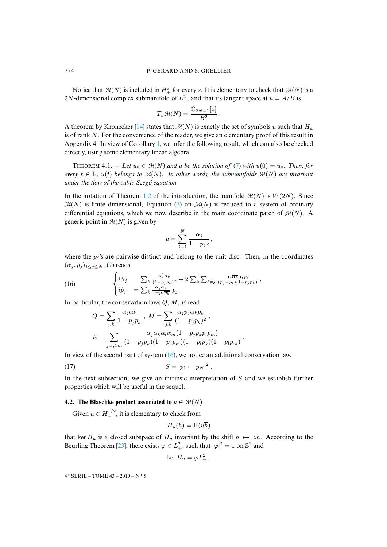Notice that  $\mathcal{M}(N)$  is included in  $H^s_+$  for every s. It is elementary to check that  $\mathcal{M}(N)$  is a 2N-dimensional complex [sub](#page-49-13)manifold of  $L^2_+$ , and that its tangent space at  $u = A/B$  is

$$
T_u\mathcal{M}(N) = \frac{\mathbb{C}_{2N-1}[z]}{B^2}.
$$

A theorem by Kronecker [14] states that  $\mathcal{M}(N)$  is exactly the set of symbols u such that  $H_u$ is of rank N. For the convenience of the reader, we give an elementary proof of this result in Appendix 4. In view of Corollary 1, we infer the following res[ult,](#page-4-0) which can also be checked directly, using some elementary linear algebra.

**THEOREM 4.1.** – Let  $u_0 \in \mathcal{M}(N)$  and u be the solution of (7) with  $u(0) = u_0$ . Then, for *every*  $t \in \mathbb{R}$ ,  $u(t)$  *belongs to*  $\mathcal{M}(N)$  $\mathcal{M}(N)$  $\mathcal{M}(N)$ *. In [ot](#page-4-0)her words, the submanifolds*  $\mathcal{M}(N)$  *are invariant under the flow of the cubic Szegő equation.*

In the notation of Theorem 1.2 of the introduction, the manifold  $\mathcal{M}(N)$  is  $W(2N)$ . Since  $\mathcal{M}(N)$  is finite dimensional, Equation (7) on  $\mathcal{M}(N)$  is reduced to a system of ordinary differential equations, which we now describe in the main coordinate patch of  $\mathcal{M}(N)$ . A generic point in  $\mathcal{M}(N)$  is given by

$$
u = \sum_{j=1}^N \frac{\alpha_j}{1 - p_j z},
$$

<span id="page-14-0"></span>where the  $p_j$ 's are pairwise distinct and belong to the unit disc. Then, in the coordinates  $(\alpha_j, p_j)_{1 \leq j \leq N}$ , (7) reads

(16) 
$$
\begin{cases} i\dot{\alpha}_j = \sum_k \frac{\alpha_j^2 \overline{\alpha_k}}{(1-p_j \overline{p_k})^2} + 2 \sum_k \sum_{\ell \neq j} \frac{\alpha_j \overline{\alpha_k} \alpha_{\ell} p_j}{(p_j - p_{\ell})(1-p_j \overline{p_k})}, \\ i\dot{p}_j = \sum_k \frac{\alpha_j \overline{\alpha_k}}{1-p_j \overline{p_k}} p_j. \end{cases}
$$

In particular, the conservation laws  $Q, M, E$  read

$$
\begin{split} Q &= \sum_{j,k} \frac{\alpha_j \overline{\alpha}_k}{1-p_j \overline{p}_k} \;,\; M = \sum_{j,k} \frac{\alpha_j p_j \overline{\alpha}_k \overline{p}_k}{(1-p_j \overline{p}_k)^2} \;, \\ E &= \sum_{j,k,l,m} \frac{\alpha_j \overline{\alpha}_k \alpha_l \overline{\alpha}_m (1-p_j \overline{p}_k p_l \overline{p}_m)}{(1-p_j \overline{p}_k)(1-p_j \overline{p}_m)(1-p_l \overline{p}_k)(1-p_l \overline{p}_m)} \;. \end{split}
$$

In view of the second part of system  $(16)$ , we notice an additional conservation law,

$$
(17) \t\t S = |p_1 \cdots p_N|^2.
$$

<span id="page-14-1"></span>In the next subsection, we give an intrinsic interpretation of  $S$  and we establish further properties which will be useful in the sequel.

## **4.2.** The Blaschke product associated to  $u \in \mathcal{M}(N)$

Given  $u \in H_+^{1/2}$ , it is elementary to check from

$$
H_u(h) = \Pi(u\overline{h})
$$

that ker  $H_u$  is a closed subspace of  $H_u$  invariant by the shift  $h \mapsto zh$ . According to the Beurling Theorem [23], there exists  $\varphi \in L^2_+$ , such that  $|\varphi|^2 = 1$  on  $\mathbb{S}^1$  and

$$
\ker H_u = \varphi L_+^2 \ .
$$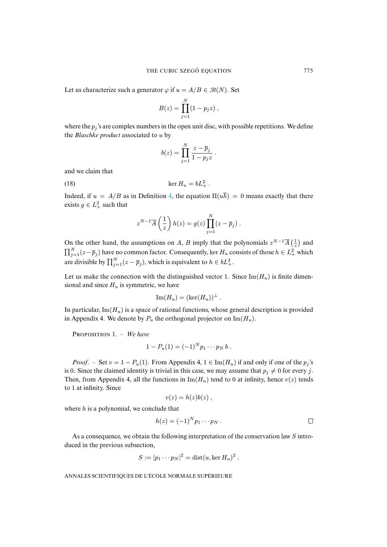Let us characterize such a generator  $\varphi$  if  $u = A/B \in \mathcal{M}(N)$ . Set

$$
B(z) = \prod_{j=1}^{N} (1 - p_j z) ,
$$

where the  $p_j$ 's are complex numbers in the open unit disc, with possible repetitions. We define the *Blaschke product* associated to u by

$$
b(z) = \prod_{j=1}^N \frac{z - \overline{p}_j}{1 - p_j z}.
$$

and we claim that

$$
\ker H_u = bL_+^2 \, .
$$

Indeed, if  $u = A/B$  as in Definition 4, the equation  $\Pi(u\overline{h}) = 0$  means exactly that there exists  $g \in L^2_+$  such that

$$
z^{N-1}\overline{A}\left(\frac{1}{z}\right)h(z) = g(z)\prod_{j=1}^N(z-\overline{p}_j).
$$

On the other hand, the assumptions on A, B imply that the polynomials  $z^{N-1}\overline{A}(\frac{1}{z})$  and  $\prod_{j=1}^{N}(z-\bar{p}_j)$  have no common factor. Consequently, ker  $H_u$  consists of those  $h \in L^2_+$  which are divisible by  $\prod_{j=1}^{N} (z - \overline{p}_j)$ , which is equivalent to  $h \in bL_+^2$ .

Let us make the connection with the distinguished vector 1. Since  $\text{Im}(H_u)$  is finite dimensional and since  $H_u$  is symmetric, we have

$$
\operatorname{Im}(H_u) = (\ker(H_u))^{\perp} .
$$

In particular,  $\text{Im}(H_u)$  is a space of rational functions, whose general description is provided in Appendix 4. We denote by  $P_u$  the orthogonal projector on Im( $H_u$ ).

PROPOSITION 1. - We have

$$
1 - P_u(1) = (-1)^N p_1 \cdots p_N b.
$$

*Proof.* – Set  $v = 1 - P_u(1)$ . From Appendix 4,  $1 \in \text{Im}(H_u)$  if and only if one of the  $p_i$ 's is 0. Since the claimed identity is trivial in this case, we may assume that  $p_j \neq 0$  for every j. Then, from Appendix 4, all the functions in  $\text{Im}(H_u)$  tend to 0 at infinity, hence  $v(z)$  tends to 1 at infinity. Since

$$
v(z) = h(z)b(z) ,
$$

where  $h$  is a polynomial, we conclude that

$$
h(z) = (-1)^N p_1 \cdots p_N . \square
$$

As a consequence, we obtain the following interpretation of the conservation law S introduced in the previous subsection,

$$
S := |p_1 \cdots p_N|^2 = \text{dist}(u, \ker H_u)^2.
$$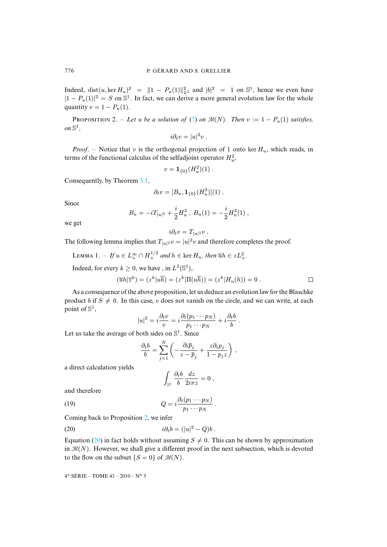<span id="page-16-1"></span>Indeed, dist $(u, \ker H_u)^2 = ||1 - P_u(1)||_{L^2}^2$  and  $|b|^2 = 1$  on  $\mathbb{S}^1$ , hence we even have  $|1 - P_u(1)|^2 = S$  on  $\mathbb{S}^1$ . In fact, we can deriv[e a](#page-4-0) more general evolution law for the whole quantity  $v = 1 - P_u(1)$ .

PROPOSITION 2. – Let u be a solution of (7) on  $\mathcal{M}(N)$ . Then  $v := 1 - P_u(1)$  satisfies, on  $\mathbb{S}^1$ ,

$$
i\partial_t v = |u|^2 v.
$$

*Proof.* – Notice that v is the orthogonal projection of 1 onto ker  $H_u$ , which reads, in terms of the functional cal[culus](#page-11-3) of the selfadjoint operator  $H_u^2$ ,

$$
v = \mathbf{1}_{\{0\}}(H_u^2)(1) \ .
$$

Consequently, by Theorem 3.1,

$$
\partial_t v = [B_u, \mathbf{1}_{\{0\}}(H_u^2)](1) \ .
$$

Since

$$
B_u = -i T_{|u|^2} + \frac{i}{2} H_u^2 \ , \ B_u(1) = -\frac{i}{2} H_u^2(1) \ ,
$$

we get

$$
i\partial_t v = T_{|u|^2}v.
$$

The following lemma implies that  $T_{|u|^2}v = |u|^2v$  and therefore completes the proof.

LEMMA 1. – If  $u \in L_+^{\infty} \cap H_+^{1/2}$  and  $h \in \text{ker } H_u$ , then  $\overline{u}h \in zL_+^2$ .

Indeed, for every  $k \geq 0$ , we have, in  $L^2(\mathbb{S}^1)$ ,

$$
(\overline{u}h|\overline{z}^k) = (z^k|u\overline{h}) = (z^k|\Pi(u\overline{h})) = (z^k|H_u(h)) = 0.
$$

As a consequence of the above proposition, let us deduce an evolution law for the Blaschke product b if  $S \neq 0$ . In this case, v does not vanish on the circle, and we can write, at each point of  $\mathbb{S}^1$ ,

$$
|u|^2 = i \frac{\partial_t v}{v} = i \frac{\partial_t (p_1 \cdots p_N)}{p_1 \cdots p_N} + i \frac{\partial_t b}{b}.
$$

Let us take the average of both sides on  $\mathbb{S}^1$ . Since

$$
\frac{\partial_t b}{b} = \sum_{j=1}^N \left( -\frac{\partial_t \overline{p}_j}{z-\overline{p}_j} + \frac{z \partial_t p_j}{1-p_j z} \right) ,
$$

a direct calculation yields

<span id="page-16-0"></span>
$$
\int_{\mathbb{S}^1} \frac{\partial_t b}{b} \, \frac{dz}{2i\pi z} = 0 \;,
$$

and therefore

(19)  $Q = i \frac{\partial_t (p_1 \cdots p_N)}{\partial_t (p_1 \cdots p_N)}$  $\frac{(P_1 - P_N)}{p_1 \cdots p_N}$ .

Coming b[ack](#page-16-0) to Proposition 2, we infer

$$
(20) \t\t\t\t\t\t i\partial_t b = (|u|^2 - Q)b.
$$

Equation (20) in fact holds without assuming  $S \neq 0$ . This can be shown by approximation in  $\mathcal{M}(N)$ . However, we shall give a different proof in the next subsection, which is devoted to the flow on the subset  $\{S = 0\}$  of  $\mathcal{M}(N)$ .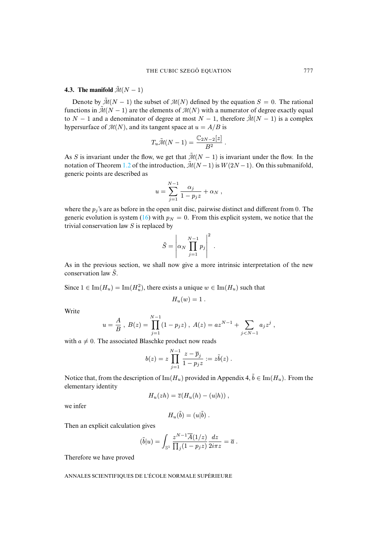# **4.3. The manifold**  $\tilde{\mathcal{M}}(N-1)$

Denote by  $\tilde{\mathcal{M}}(N-1)$  the subset of  $\mathcal{M}(N)$  defined by the equation  $S = 0$ . The rational functions in  $\tilde{\mathcal{M}}(N-1)$  are the elements of  $\mathcal{M}(N)$  with a numerator of degree exactly equal to  $N - 1$  and a denominator of degree at most  $N - 1$ , therefore  $\tilde{\mathcal{M}}(N - 1)$  is a complex hypersurface of  $\mathcal{M}(N)$ , and its tangent space at  $u = A/B$  is

$$
T_u\tilde{\mathcal{M}}(N-1) = \frac{\mathbb{C}_{2N-2}[z]}{B^2}.
$$

As S is invariant under the flow, we get that  $\tilde{\mathcal{M}}(N-1)$  is invariant under the flow. In the notation of Theorem 1.2 of the introduction,  $\tilde{\mathcal{M}}(N-1)$  is  $W(2N-1)$ . On this submanifold, generic points are described as

$$
u = \sum_{j=1}^{N-1} \frac{\alpha_j}{1 - p_j z} + \alpha_N,
$$

where the  $p_j$ 's are as before in the open unit disc, pairwise distinct and different from 0. The generic evolution is system (16) with  $p_N = 0$ . From this explicit system, we notice that the trivial conservation law  $S$  is replaced by

$$
\tilde{S} = \left| \alpha_N \prod_{j=1}^{N-1} p_j \right|^2.
$$

As in the previous section, we shall now give a more intrinsic interpretation of the new conservation law  $\tilde{S}$ .

Since  $1 \in \text{Im}(H_u) = \text{Im}(H_u^2)$ , there exists a unique  $w \in \text{Im}(H_u)$  such that

$$
H_u(w)=1.
$$

Write

$$
u = \frac{A}{B}
$$
,  $B(z) = \prod_{j=1}^{N-1} (1 - p_j z)$ ,  $A(z) = az^{N-1} + \sum_{j < N-1} a_j z^j$ ,

with  $a \neq 0$ . The associated Blaschke product now reads

$$
b(z)=z\prod_{j=1}^{N-1}\frac{z-\overline{p}_j}{1-p_jz}:=z\tilde{b}(z)\ .
$$

Notice that, from the description of Im( $H_u$ ) provided in Appendix 4,  $\tilde{b} \in \text{Im}(H_u)$ . From the elementary identity

$$
H_u(zh) = \overline{z}(H_u(h) - (u|h)),
$$

we infer

$$
H_u(\tilde{b}) = (u|\tilde{b}) .
$$

<span id="page-17-0"></span>Then an explicit calculation gives

$$
(\tilde{b}|u) = \int_{\mathbb{S}^1} \frac{z^{N-1}\overline{A}(1/z)}{\prod_j (1-p_j z)} \frac{dz}{2i\pi z} = \overline{a} .
$$

Therefore we have proved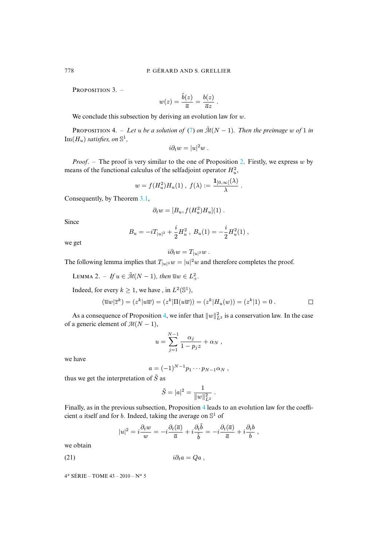<span id="page-18-0"></span>PROPOSITION  $3.$  –

$$
w(z) = \frac{\tilde{b}(z)}{\overline{a}} = \frac{b(z)}{\overline{a}z}.
$$

We conclude this subsection by deriving an evolution law for  $w$ .

**PROPOSITION 4.** – Let u be a solution of (7) on  $\tilde{\mathcal{M}}(N-1)$ . [Th](#page-16-1)en the preimage w of 1 in  $\text{Im}(H_u)$  *satisfies, on*  $\mathbb{S}^1$ *,* 

$$
i\partial_t w = |u|^2 w.
$$

*Proof.* – The proof is very similar to the one of Proposition 2. Firstly, we express w by means of the functional cal[culu](#page-11-3)s of the selfadjoint operator  $H_u^2$ ,

$$
w = f(H_u^2)H_u(1)
$$
,  $f(\lambda) := \frac{\mathbf{1}_{]0,\infty[}(\lambda)}{\lambda}$ .

Consequently, by Theorem 3.1,

$$
\partial_t w = [B_u, f(H_u^2)H_u](1) .
$$

Since

$$
B_u = -i T_{|u|^2} + \frac{i}{2} H_u^2 , B_u(1) = -\frac{i}{2} H_u^2(1) ,
$$

<span id="page-18-1"></span>we get

$$
i\partial_t w = T_{|u|^2}w.
$$

The following lemma implies that  $T_{|u|^2}w = |u|^2w$  and therefore completes the proof.

LEMMA 2. – If 
$$
u \in \tilde{\mathcal{M}}(N-1)
$$
, then  $\overline{u}w \in L^2_+$ .

Indeed, for every  $k \geq 1$ , we have, in  $L^2(\mathbb{S}^1)$ ,

$$
(\overline{u}w|\overline{z}^k) = (z^k|u\overline{w}) = (z^k|\Pi(u\overline{w})) = (z^k|H_u(w)) = (z^k|1) = 0.
$$

As a consequence of Proposition 4, we infer that  $||w||_{L^2}^2$  is a conservation law. In the case of a generic element of  $M(N-1)$ ,

$$
u = \sum_{j=1}^{N-1} \frac{\alpha_j}{1 - p_j z} + \alpha_N,
$$

we have

$$
a=(-1)^{N-1}p_1\cdots p_{N-1}\alpha_N,
$$

thus we get the interpretation of  $\tilde{S}$  as

$$
\tilde{S} = |a|^2 = \frac{1}{\|w\|_{L^2}^2} \ .
$$

Finally, as in the previous subsection, Proposition 4 leads to an evolution law for the coefficient a itself and for b. Indeed, taking the average on  $\mathbb{S}^1$  of

$$
|u|^2 = i \frac{\partial_t w}{w} = -i \frac{\partial_t (\overline{a})}{\overline{a}} + i \frac{\partial_t \tilde{b}}{\tilde{b}} = -i \frac{\partial_t (\overline{a})}{\overline{a}} + i \frac{\partial_t b}{b},
$$

we obtain

(21) i∂ta = Qa ,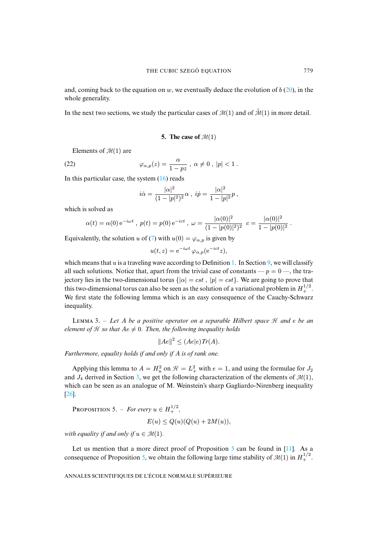and, coming back to the equation on w, we eventually deduce the evolution of  $b(20)$ , in the whole generality.

<span id="page-19-0"></span>In the next two sections, we study the particular cases of  $\mathcal{M}(1)$  and of  $\tilde{\mathcal{M}}(1)$  in more detail.

**5.** The case of  $\mathcal{M}(1)$ 

Elements of  $\mathcal{M}(1)$  are

(22) 
$$
\varphi_{\alpha,p}(z) = \frac{\alpha}{1 - pz}, \ \alpha \neq 0, \ |p| < 1 \ .
$$

In this particular case, the system  $(16)$  reads

$$
i\dot{\alpha} = \frac{|\alpha|^2}{(1-|p|^2)^2} \alpha , \; i\dot{p} = \frac{|\alpha|^2}{1-|p|^2} p \;,
$$

which is solved as

$$
\alpha(t) = \alpha(0) e^{-i\omega t}, \ p(t) = p(0) e^{-ict}, \ \omega = \frac{|\alpha(0)|^2}{(1 - |p(0)|^2)^2} \ c = \frac{|\alpha(0)|^2}{1 - |p(0)|^2}.
$$

Equivalently, the solution u of (7) with  $u(0) = \varphi_{\alpha, p}$  is given [by](#page-7-0)

$$
u(t,z) = e^{-i\omega t} \varphi_{\alpha,p}(e^{-ict}z),
$$

which means that u is a traveling wave according to Definition 1. In Section 9, we will classify all such solutions. Notice that, apart from the trivial case of constants —  $p = 0$  —, the trajectory lies in the two-dimensional torus  $\{|\alpha| = cst, |p| = cst\}$ . We are going to prove that this two-dimensional torus can also be seen as the solution of a variational problem in  $H_+^{1/2}$ . We first state the following lemma which is an easy consequence of the Cauchy-Schwarz inequality.

L 3. – *Let* A *be a positive operator on a separable Hilbert space* H *and* e *be an element of*  $H$  *so that*  $Ae \neq 0$ *. Then, the following inequality holds* 

$$
||Ae||^2 \le (Ae|e)Tr(A).
$$

*Furthermore, equality hol[ds](#page-10-0) if and only if* A *is of rank one.*

<span id="page-19-1"></span>[A](#page-49-14)pplying this lemma to  $A = H_u^2$  on  $\mathcal{H} = L_+^2$  with  $e = 1$ , and using the formulae for  $J_2$ and  $J_4$  derived in Section 3, we get the following characterization of the elements of  $\mathcal{M}(1)$ , which can be seen as an analogue of M. Weinstein's sharp Gagliardo-Nirenberg inequality [26].

PROPOSITION 5. – *For every*  $u \in H_+^{1/2}$ ,

$$
E(u) \le Q(u)(Q(u) + 2M(u)),
$$

*with equality if and only if*  $u \in \mathcal{M}(1)$ *.* 

Let us mention that a more direct proof of Proposition  $5$  can be found in [11]. As a consequence of Proposition 5, we obtain the following large time stability of  $\mathcal{M}(1)$  in  $H_+^{1/2}$ .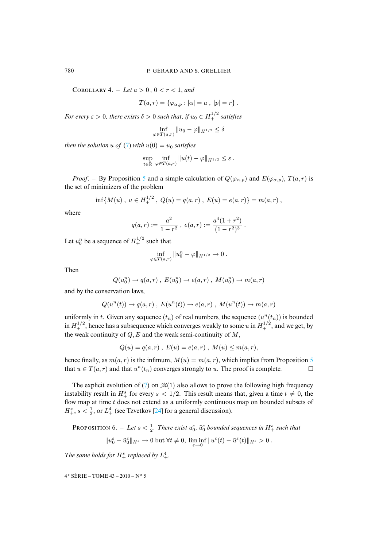COROLLARY 4. – Let  $a > 0$ ,  $0 < r < 1$ , and

$$
T(a,r) = \{ \varphi_{\alpha,p} : |\alpha| = a , |p| = r \} .
$$

*For every*  $\varepsilon > 0$ , there [ex](#page-4-0)ists  $\delta > 0$  such that, if  $u_0 \in H_+^{1/2}$  satisfies

$$
\inf_{\varphi \in T(a,r)} \|u_0 - \varphi\|_{H^{1/2}} \le \delta
$$

*then the solution*  $u$  *of* (7) *with*  $u(0) = u_0$  *satisfies* 

$$
\sup_{t\in\mathbb{R}}\inf_{\varphi\in T(a,r)}\|u(t)-\varphi\|_{H^{1/2}}\leq\varepsilon.
$$

*Proof.* – By Proposition 5 and a simple calculation of  $Q(\varphi_{\alpha,p})$  and  $E(\varphi_{\alpha,p})$ ,  $T(a,r)$  is the set of minimizers of the problem

$$
\inf\{M(u),\ u\in H_+^{1/2}\ ,\ Q(u)=q(a,r)\ ,\ E(u)=e(a,r)\}=m(a,r)\ ,
$$

where

$$
q(a,r) := \frac{a^2}{1 - r^2}, \ e(a,r) := \frac{a^4(1 + r^2)}{(1 - r^2)^3}.
$$

Let  $u_0^n$  be a sequence of  $H_+^{1/2}$  such that

$$
\inf_{\varphi \in T(a,r)} \|u_0^n - \varphi\|_{H^{1/2}} \to 0.
$$

Then

$$
Q(u_0^n) \to q(a,r)
$$
,  $E(u_0^n) \to e(a,r)$ ,  $M(u_0^n) \to m(a,r)$ 

and by the conservation laws,

$$
Q(u^n(t)) \to q(a,r) , E(u^n(t)) \to e(a,r) , M(u^n(t)) \to m(a,r)
$$

uniformly in t. Given any sequence  $(t_n)$  of real numbers, the sequence  $(u^n(t_n))$  is bounded in  $H_+^{1/2}$ , hence has a subsequence which converges weakly to some u in  $H_+^{1/2}$ , and we get, by the weak continuity of  $Q$ ,  $E$  and the weak semi-continuity of  $M$ ,

$$
Q(u) = q(a,r) , E(u) = e(a,r) , M(u) \le m(a,r),
$$

hence finally, as  $m(a, r)$  is th[e i](#page-4-0)nfimum,  $M(u) = m(a, r)$ , which implies from Proposition 5 that  $u \in T(a,r)$  and that  $u^n(t_n)$  converges strongly to u. The proof is complete.  $\Box$ 

<span id="page-20-0"></span>The explicit evoluti[on](#page-49-15) of (7) on  $\mathcal{M}(1)$  also allows to prove the following high frequency instability result in  $H^s_+$  for every  $s < 1/2$ . This result means that, given a time  $t \neq 0$ , the flow map at time  $t$  does not extend as a uniformly continuous map on bounded subsets of  $H^s_+$ ,  $s < \frac{1}{2}$ , or  $L^4_+$  (see Tzvetkov [24] for a general discussion).

**PROPOSITION** 6. – Let  $s < \frac{1}{2}$ . There exist  $u_0^{\varepsilon}$ ,  $\tilde{u}_0^{\varepsilon}$  bounded sequences in  $H^s_+$  such that

$$
||u_0^{\varepsilon}-\tilde{u}_0^{\varepsilon}||_{H^s}\to 0 \text{ but } \forall t\neq 0, \, \liminf_{\varepsilon\to 0}||u^{\varepsilon}(t)-\tilde{u}^{\varepsilon}(t)||_{H^s}>0.
$$

The same holds for  $H^s_+$  replaced by  $L^4_+$ .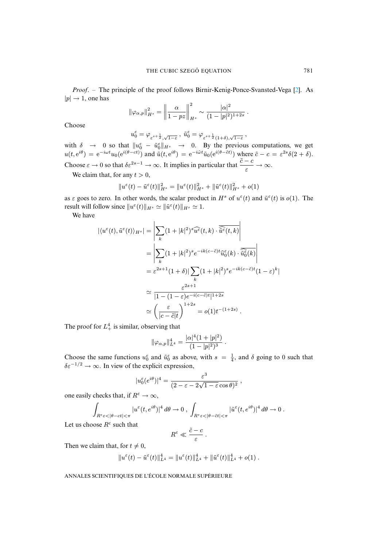*Proof*. – The principle of the proof follows Birnir-Kenig-Ponce-Svansted-Vega [2]. As  $|p| \rightarrow 1$ , one has

$$
\|\varphi_{\alpha,p}\|_{H^s}^2 = \left\|\frac{\alpha}{1-pz}\right\|_{H^s}^2 \sim \frac{|\alpha|^2}{(1-|p|^2)^{1+2s}}.
$$

Choose

 $u_0^\varepsilon = \varphi_{\varepsilon^{s+\frac{1}{2}},\sqrt{1-\varepsilon}} \, , \ \tilde u_0^\varepsilon = \varphi_{\varepsilon^{s+\frac{1}{2}}(1+\delta),\sqrt{1-\varepsilon}} \, ,$ 

with  $\delta \to 0$  so that  $||u_0^{\epsilon} - \tilde{u}_0^{\epsilon}||_{H^s} \to 0$ . By the previous computations, we get  $u(t, e^{i\theta}) = e^{-i\omega t} u_0(e^{i(\theta - ct)})$  and  $\tilde{u}(t, e^{i\theta}) = e^{-i\tilde{\omega} t} \tilde{u}_0(e^{i(\theta - \tilde{c}t)})$  where  $\tilde{c} - c = \varepsilon^{2s} \delta(2 + \delta)$ . Choose  $\varepsilon \to 0$  so that  $\delta \varepsilon^{2s-1} \to \infty$ . It implies in particular that  $\frac{\tilde{c} - c}{\varepsilon} \to \infty$ .

We claim that, for any  $t > 0$ ,

$$
||u^{\varepsilon}(t) - \tilde{u}^{\varepsilon}(t)||_{H^{s}}^{2} = ||u^{\varepsilon}(t)||_{H^{s}}^{2} + ||\tilde{u}^{\varepsilon}(t)||_{H^{s}}^{2} + o(1)
$$

as  $\varepsilon$  goes to zero. In other words, the scalar product in  $H^s$  of  $u^{\varepsilon}(t)$  and  $\tilde{u}^{\varepsilon}(t)$  is  $o(1)$ . The result will follow since  $||u^{\varepsilon}(t)||_{H^{s}} \simeq ||\tilde{u}^{\varepsilon}(t)||_{H^{s}} \simeq 1$ .

We have

$$
\begin{split} |\langle u^{\varepsilon}(t), \tilde{u}^{\varepsilon}(t) \rangle_{H^{s}}| &= \left| \sum_{k} (1+|k|^{2})^{s} \widehat{u^{\varepsilon}}(t,k) \cdot \overline{\widehat{u^{\varepsilon}}}(t,k) \right| \\ &= \left| \sum_{k} (1+|k|^{2})^{s} e^{-ik(c-\tilde{c})t} \widehat{u}_{0}^{\varepsilon}(k) \cdot \overline{\widehat{u}_{0}^{\varepsilon}(k)} \right| \\ &= \varepsilon^{2s+1} (1+\delta) |\sum_{k} (1+|k|^{2})^{s} e^{-ik(c-\tilde{c})t} (1-\varepsilon)^{k}| \\ &\simeq \frac{\varepsilon^{2s+1}}{|1-(1-\varepsilon)e^{-i(c-\tilde{c})t}|^{1+2s}} \\ &\simeq \left( \frac{\varepsilon}{|c-\tilde{c}|t} \right)^{1+2s} = o(1)t^{-(1+2s)} . \end{split}
$$

The proof for  $L_+^4$  is similar, observing that

$$
\|\varphi_{\alpha,p}\|_{L^4}^4 = \frac{|\alpha|^4(1+|p|^2)}{(1-|p|^2)^3}.
$$

Choose the same functions  $u_0^{\epsilon}$  and  $\tilde{u}_0^{\epsilon}$  as above, with  $s = \frac{1}{4}$ , and  $\delta$  going to 0 such that  $\delta \varepsilon^{-1/2} \to \infty$ . In view of the explicit expression,

$$
|u_0^{\varepsilon}(e^{i\theta})|^4 = \frac{\varepsilon^3}{(2 - \varepsilon - 2\sqrt{1 - \varepsilon}\cos\theta)^2},
$$

one easily checks that, if  $R^{\varepsilon} \to \infty$ ,

$$
\int_{R^{\varepsilon}\varepsilon<|\theta-ct|<\pi} |u^{\varepsilon}(t,e^{i\theta})|^4 d\theta \to 0 , \int_{R^{\varepsilon}\varepsilon<|\theta-\tilde ct|<\pi} |\tilde u^{\varepsilon}(t,e^{i\theta})|^4 d\theta \to 0 .
$$

Let us choose  $R^{\varepsilon}$  such that

$$
R^{\varepsilon} \ll \frac{\tilde{c}-c}{\varepsilon} \; .
$$

Then we claim that, for  $t \neq 0$ ,

$$
||u^{\varepsilon}(t) - \tilde{u}^{\varepsilon}(t)||_{L^{4}}^{4} = ||u^{\varepsilon}(t)||_{L^{4}}^{4} + ||\tilde{u}^{\varepsilon}(t)||_{L^{4}}^{4} + o(1).
$$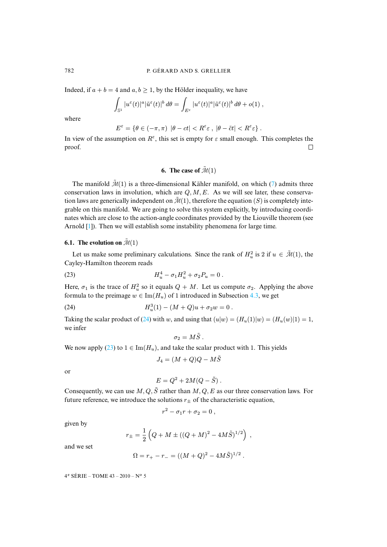Indeed, if  $a + b = 4$  and  $a, b \ge 1$ , by the Hölder inequality, we have

$$
\int_{\mathbb{S}^1} |u^{\varepsilon}(t)|^a |\tilde{u}^{\varepsilon}(t)|^b d\theta = \int_{E^{\varepsilon}} |u^{\varepsilon}(t)|^a |\tilde{u}^{\varepsilon}(t)|^b d\theta + o(1) ,
$$

where

$$
E^{\varepsilon} = \{\theta \in (-\pi, \pi) \ |\theta - ct| < R^{\varepsilon} \varepsilon \ , \ |\theta - \tilde c t| < R^{\varepsilon} \varepsilon \} \ .
$$

<span id="page-22-0"></span>In view of the assumption on  $R^{\varepsilon}$ , this set is empty for  $\varepsilon$  small enough. This completes the proof.  $\Box$ 

# <span id="page-22-2"></span>**6.** The case of  $\tilde{\mathcal{M}}(1)$

The manifold  $\tilde{\mathcal{M}}(1)$  is a three-dimensional Kähler manifold, on which (7) admits three conservation laws in involution, which are  $Q, M, E$ . As we will see later, these conservation law[s a](#page-48-2)re generically independent on  $\tilde{\mathcal{M}}(1)$ , therefore the equation (S) is completely integrable on this manifold. We are going to solve this system explicitly, by introducing coordinates which are close to the action-angle coordinates provided by the Liouville theorem (see Arnold [1]). Then we will establish some instability phenomena for large time.

# **6.1.** The evolution on  $\tilde{\mathcal{M}}(1)$

Let us make some preliminary calculations. Since the rank of  $H_u^2$  is 2 if  $u \in \mathcal{M}(1)$ , the Cayley-Hamilton theorem reads

(23) 
$$
H_u^4 - \sigma_1 H_u^2 + \sigma_2 P_u = 0.
$$

Here,  $\sigma_1$  is the trace of  $H_u^2$  so it equals  $Q + M$ . Let us compute  $\sigma_2$ . Applying the above formula to the preimage  $w \in \text{Im}(H_u)$  $w \in \text{Im}(H_u)$  $w \in \text{Im}(H_u)$  of 1 introduced in Subsection 4.3, we get

(24) 
$$
H_u^3(1) - (M+Q)u + \sigma_2 w = 0.
$$

Taking the scal[ar p](#page-22-2)roduct of (24) with w, and using that  $(u|w) = (H_u(1)|w) = (H_u(w)|1) = 1$ , we infer

<span id="page-22-1"></span>
$$
\sigma_2=M\tilde{S}.
$$

We now apply (23) to  $1 \in \text{Im}(H_u)$ , and take the scalar product with 1. This yields

$$
J_4 = (M+Q)Q - M\tilde{S}
$$

or

$$
E = Q^2 + 2M(Q - \tilde{S}) .
$$

Consequently, we can use  $M, Q, \tilde{S}$  rather than  $M, Q, E$  as our three conservation laws. For future reference, we introduce the solutions  $r_{\pm}$  of the characteristic equation,

$$
r^2 - \sigma_1 r + \sigma_2 = 0,
$$

given by

$$
r_{\pm} = \frac{1}{2} \left( Q + M \pm ((Q + M)^2 - 4M\tilde{S})^{1/2} \right) ,
$$

and we set

$$
\Omega = r_{+} - r_{-} = ((M + Q)^{2} - 4M\tilde{S})^{1/2}.
$$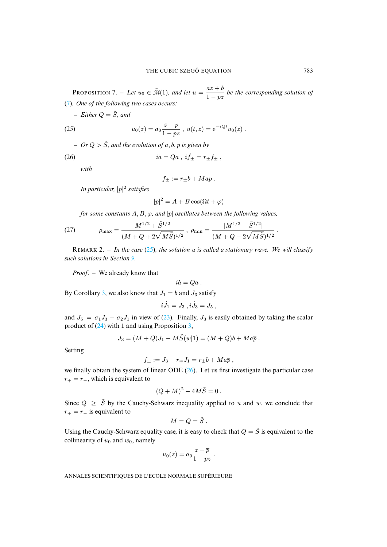**PROPOSITION** 7. – Let  $u_0 \in \tilde{\mathcal{M}}(1)$ , and let  $u = \frac{az+b}{1-a}$  $\frac{az + b}{1 - pz}$  be the corresponding solution of (7)*. One of the following two cases occurs:*

<span id="page-23-0"></span> $–$  *Either*  $Q = \tilde{S}$ *, and* 

(25) 
$$
u_0(z) = a_0 \frac{z - \overline{p}}{1 - pz}, \ u(t, z) = e^{-iQt} u_0(z).
$$

- Or 
$$
Q > \tilde{S}
$$
, and the evolution of a, b, p is given by

(26)  $i\dot{a} = Qa, i\dot{f}_{\pm} = r_{\pm}f_{\pm}$ ,

*with*

<span id="page-23-1"></span>
$$
f_{\pm} := r_{\pm}b + Ma\overline{p} .
$$

<span id="page-23-2"></span>*In particular,* |p| 2 *satisfies*

$$
|p|^2 = A + B\cos(\Omega t + \varphi)
$$

*for some constants*  $A, B, \varphi$ *, and* |p| *oscillates between the following values,* 

(27) 
$$
\rho_{\max} = \frac{M^{1/2} + \tilde{S}^{1/2}}{(M + Q + 2\sqrt{M}\tilde{S})^{1/2}}, \ \rho_{\min} = \frac{|M^{1/2} - \tilde{S}^{1/2}|}{(M + Q - 2\sqrt{M}\tilde{S})^{1/2}}
$$

R 2. – *In the case* (25)*, the solution* u *is called a stationary wave. We will classify such solutions in Section 9.*

*Proof*. – [We](#page-12-1) already know that

$$
i\dot{a}=Qa.
$$

By Corollary 3, we also know that  $J_1 = b$  $J_1 = b$  $J_1 = b$  and  $J_3$  satisfy

$$
i\dot{J}_1 = J_3 \ , i\dot{J}_3 = J_5 \ ,
$$

and  $J_5 = \sigma_1 J_3 - \sigma_2 J_1$  in view of (23). Finally,  $J_3$  is easily obtained by taking the scalar product of (24) with 1 and using Proposition 3,

$$
J_3 = (M+Q)J_1 - M\tilde{S}(w|1) = (M+Q)b + Ma\overline{p}.
$$

Setting

$$
f_{\pm} := J_3 - r_{\mp} J_1 = r_{\pm} b + M a \overline{p} ,
$$

we finally obtain the system of linear ODE  $(26)$ . Let us first investigate the particular case  $r_{+} = r_{-}$ , which is equivalent to

$$
(Q+M)^2 - 4M\tilde{S} = 0.
$$

Since  $Q \geq \tilde{S}$  by the Cauchy-Schwarz inequality applied to u and w, we conclude that  $r_{+} = r_{-}$  is equivalent to

$$
M=Q=\tilde{S} .
$$

Using the Cauchy-Schwarz equality case, it is easy to check that  $Q = \tilde{S}$  is equivalent to the collinearity of  $u_0$  and  $w_0$ , namely

$$
u_0(z) = a_0 \frac{z - \overline{p}}{1 - pz} .
$$

ANNALES SCIENTIFIQUES DE L'ÉCOLE NORMALE SUPÉRIEURE

.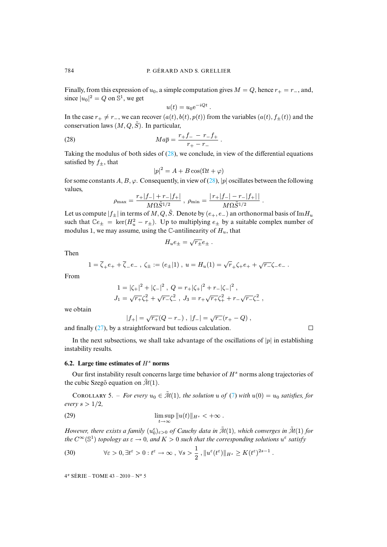Finally, from this expression of  $u_0$ , a simple computation gives  $M = Q$ , hence  $r_+ = r_-$ , and, since  $|u_0|^2 = Q$  on  $\mathbb{S}^1$ , we get

<span id="page-24-0"></span>
$$
u(t) = u_0 e^{-iQt} .
$$

In the case  $r_+ \neq r_-$ , we can recover  $(a(t), b(t), p(t))$  from the variables  $(a(t), f_{\pm}(t))$  and the conservation laws  $(M, Q, \tilde{S})$ . In parti[cula](#page-24-0)r,

(28) 
$$
Ma\overline{p} = \frac{r_+f_- - r_-f_+}{r_+ - r_-}.
$$

Taking the modulus of both sides of  $(28)$ , we conclu[de, i](#page-24-0)n view of the differential equations satisfied by  $f_{\pm}$ , that

$$
|p|^2 = A + B\cos(\Omega t + \varphi)
$$

for some constants A, B,  $\varphi$ . Consequently, in view of (28), |p| oscillates between the following values,

$$
\rho_{\max} = \frac{r_+|f_-| + r_-|f_+|}{M\Omega \tilde{S}^{1/2}} , \ \rho_{\min} = \frac{|r_+|f_-| - r_-|f_+|}{M\Omega \tilde{S}^{1/2}} .
$$

Let us compute  $|f_{\pm}|$  in terms of  $M, Q, \tilde{S}$ . Denote by  $(e_{+}, e_{-})$  an orthonormal basis of Im $H_u$ such that  $\mathbb{C}e_{\pm} = \ker(H_u^2 - r_{\pm})$ . Up to multiplying  $e_{\pm}$  by a suitable complex number of modulus 1, we may assume, using the  $\mathbb C$ -antilinearity of  $H_u$ , that

$$
H_u e_{\pm} = \sqrt{r_{\pm}} e_{\pm} .
$$

Then

$$
1 = \overline{\zeta}_{+}e_{+} + \overline{\zeta}_{-}e_{-} , \ \zeta_{\pm} := (e_{\pm}|1) , \ u = H_{u}(1) = \sqrt{r}_{+}\zeta_{+}e_{+} + \sqrt{r_{-}}\zeta_{-}e_{-} .
$$

From

$$
1 = |\zeta_+|^2 + |\zeta_-|^2, \ Q = r_+|\zeta_+|^2 + r_-|\zeta_-|^2,
$$
  

$$
J_1 = \sqrt{r_+}\zeta_+^2 + \sqrt{r_-\zeta_-^2}, \ J_3 = r_+\sqrt{r_+}\zeta_+^2 + r_-\sqrt{r_-\zeta_-^2},
$$

we obtain

$$
|f_+| = \sqrt{r_+}(Q - r_-), \ |f_-| = \sqrt{r_-}(r_+ - Q),
$$
 and finally (27), by a straightforward but tedious calculation.

 $\Box$ 

In the next subsections, we shall take advantage of the oscillations of  $|p|$  in establishing instability results.

#### **6.2.** Large time estimates of  $H^s$  norms

Our first instability result concerns large time behavior of  $H<sup>s</sup>$  $H<sup>s</sup>$  norms along trajectories of the cubic Szegő equation on  $\tilde{\mathcal{M}}(1)$ .

COROLLARY 5. – *For every*  $u_0 \in \tilde{\mathcal{M}}(1)$ , the solution u of (7) with  $u(0) = u_0$  satisfies, for *every*  $s > 1/2$ *,* 

(29) 
$$
\limsup_{t \to \infty} \|u(t)\|_{H^s} < +\infty.
$$

<span id="page-24-1"></span>However, there exists a family  $(u_0^{\varepsilon})_{\varepsilon>0}$  of Cauchy data in  $\tilde{\mathcal{M}}(1)$ , which converges in  $\tilde{\mathcal{M}}(1)$  for *the*  $C^{\infty}(\mathbb{S}^1)$  *topology as*  $\varepsilon \to 0$ *, and*  $K > 0$  *such that the corresponding solutions*  $u^{\varepsilon}$  *satisfy* 

(30) 
$$
\forall \varepsilon > 0, \exists t^{\varepsilon} > 0 : t^{\varepsilon} \to \infty, \forall s > \frac{1}{2}, ||u^{\varepsilon}(t^{\varepsilon})||_{H^{s}} \geq K(t^{\varepsilon})^{2s-1}.
$$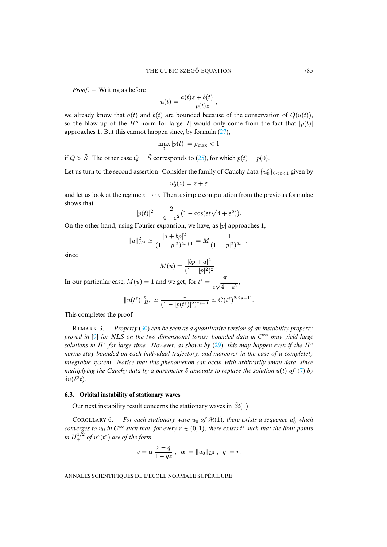*Proof*. – Writing as before

$$
u(t) = \frac{a(t)z + b(t)}{1 - p(t)z},
$$

we already know that  $a(t)$  and  $b(t)$  are bounded because of the conservation of  $Q(u(t))$ , so the blow up of the  $H^s$  norm for large |t| would only come from the fact that  $|p(t)|$ approaches 1. But this cannot happen since, by f[orm](#page-23-0)ula (27),

$$
\max_t |p(t)| = \rho_{\max} < 1
$$

if  $Q > \tilde{S}$ . The other case  $Q = \tilde{S}$  corresponds to (25), for which  $p(t) = p(0)$ .

Let us turn to the second assertion. Consider the family of Cauchy data  $\{u_0^{\varepsilon}\}_{0<\varepsilon<1}$  given by

$$
u_0^\varepsilon(z)=z+\varepsilon
$$

and let us look at the regime  $\varepsilon \to 0$ . Then a simple computation from the previous formulae shows that

$$
|p(t)|^2 = \frac{2}{4+\varepsilon^2} (1 - \cos(\varepsilon t \sqrt{4+\varepsilon^2})).
$$

On the other hand, using Fourier expansion, we have, as  $|p|$  approaches 1,

$$
||u||_{H^s}^2 \simeq \frac{|a + bp|^2}{(1 - |p|^2)^{2s+1}} = M \frac{1}{(1 - |p|^2)^{2s-1}}
$$

since

$$
M(u) = \frac{|bp + a|^2}{(1 - |p|^2)^2}.
$$

In our particular case,  $M(u) = 1$  and we get, for  $t^{\varepsilon} = \frac{\pi}{\sqrt{u}}$ ε √  $\frac{1}{4+\varepsilon^2}$ ,

$$
||u(t^{\varepsilon})||_{H^{s}}^{2} \simeq \frac{1}{(1-|p(t^{\varepsilon})|^{2})^{2s-1}} \simeq C(t^{\varepsilon})^{2(2s-1)}.
$$

This com[ple](#page-49-6)tes the proof.

R 3. – *Property* (30) *can be seen as a quantitative version of an instability property proved in* [9] *for NLS on the two dimensional torus: bounded data in*  $C^{\infty}$  *may yield large* solutions in H<sup>s</sup> for large time. However, as shown by (29), this may happen even if t[he](#page-4-0) H<sup>s</sup> *norms stay bounded on each individual trajectory, and moreover in the case of a completely integrable system. Notice that this phenomenon can occur with arbitrarily small data, since multiplying the Cauchy data by a parameter*  $\delta$  *amounts to replace the solution*  $u(t)$  *of* (7) *by*  $\delta u(\delta^2 t)$ .

#### **6.3. Orbital instability of stationary waves**

Our next instability result concerns the stationary waves in  $\tilde{\mathcal{M}}(1)$ .

COROLLARY 6. – For each stationary wave  $u_0$  of  $\tilde{M}(1)$ , there exists a sequence  $u_0^{\varepsilon}$  which *converges to*  $u_0$  *in*  $C^{\infty}$  *such that, for every*  $r \in (0,1)$ *, there exists*  $t^{\varepsilon}$  *such that the limit points* in  $H^{1/2}_+$  of  $u^\varepsilon(t^\varepsilon)$  are of the form

$$
v = \alpha \, \frac{z - \overline{q}}{1 - qz} \;, \; |\alpha| = ||u_0||_{L^2} \;, \; |q| = r.
$$

ANNALES SCIENTIFIQUES DE L'ÉCOLE NORMALE SUPÉRIEURE

 $\Box$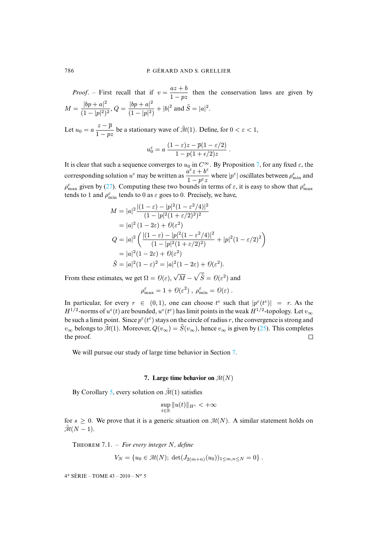*Proof.* – First recall that if  $v = \frac{az + b}{1}$  $\frac{3x+6}{1-pz}$  then the conservation laws are given by  $M = \frac{|bp + a|^2}{(1 + |b|)^2}$  $\frac{|bp+a|^2}{(1-|p|^2)^2}$ ,  $Q = \frac{|bp+a|^2}{(1-|p|^2)^2}$  $\frac{|op + a|}{(1 - |p|^2)} + |b|^2$  and  $\tilde{S} = |a|^2$ .

Let  $u_0 = a \frac{z - \overline{p}}{1 - z}$  $\frac{z-p}{1-pz}$  be a stationary wave of  $\tilde{\mathcal{M}}(1)$ . Define, for  $0 < \varepsilon < 1$ ,

$$
u_0^{\varepsilon} = a \, \frac{(1-\varepsilon)z - \overline{p}(1-\varepsilon/2)}{1 - p(1+\epsilon/2)z} \, .
$$

It is clear that [such](#page-23-2) a sequence converges to  $u_0$  in  $C^{\infty}$ . By Proposition 7, for any fixed  $\varepsilon$ , the corresponding solution  $u^{\epsilon}$  may be written as  $\frac{a^{\epsilon}z + b^{\epsilon}}{1 - \epsilon}$  $\frac{d^2 z + b}{1 - p^{\epsilon} z}$  where  $|p^{\epsilon}|$  oscillates between  $\rho_{\min}^{\epsilon}$  and  $\rho_{\text{max}}^{\varepsilon}$  given by (27). Computing these two bounds in terms of  $\varepsilon$ , it is easy to show that  $\rho_{\text{max}}^{\varepsilon}$ tends to 1 and  $\rho_{\min}^{\varepsilon}$  tends to 0 as  $\varepsilon$  goes to 0. Precisely, we have,

$$
M = |a|^2 \frac{|(1 - \varepsilon) - |p|^2 (1 - \varepsilon^2 / 4)|^2}{(1 - |p|^2 (1 + \varepsilon/2)^2)^2}
$$
  
= |a|^2 (1 - 2\varepsilon) + \mathcal{O}(\varepsilon^2)  

$$
Q = |a|^2 \left( \frac{|(1 - \varepsilon) - |p|^2 (1 - \varepsilon^2 / 4)|^2}{(1 - |p|^2 (1 + \varepsilon/2)^2)} + |p|^2 (1 - \varepsilon/2)^2 \right)
$$
  
= |a|^2 (1 - 2\varepsilon) + \mathcal{O}(\varepsilon^2)  

$$
\tilde{S} = |a|^2 (1 - \varepsilon)^2 = |a|^2 (1 - 2\varepsilon) + \mathcal{O}(\varepsilon^2).
$$

From these estimates, we get  $\Omega = \Theta(\varepsilon)$ ,  $\sqrt{\frac{\varepsilon}{\varepsilon}}$  $\overline{M} - \sqrt{\tilde{S}} = \mathcal{O}(\varepsilon^2)$  and

$$
\rho_{\max}^{\varepsilon} = 1 + \mathcal{O}(\varepsilon^2) , \ \rho_{\min}^{\varepsilon} = \mathcal{O}(\varepsilon) .
$$

In particular, for every  $r \in (0,1)$  $r \in (0,1)$  $r \in (0,1)$ , one can choose  $t^{\varepsilon}$  such that  $|p^{\varepsilon}(t^{\varepsilon})| = r$ . As the  $H^{1/2}$ -norms of  $u^{\varepsilon}(t)$  are bounded,  $u^{\varepsilon}(t^{\varepsilon})$  has limit points in the weak  $H^{1/2}$ -topology. Let  $v_{\infty}$ be such a limit point. Since  $p^{\epsilon}(t^{\epsilon})$  stays on the circle of radius r, the convergence is strong and  $v_{\infty}$  belongs to  $\tilde{\mathcal{M}}(1)$ . Moreover,  $Q(v_{\infty}) = \tilde{S}(v_{\infty})$ , hence  $v_{\infty}$  i[s g](#page-26-0)iven by (25). This completes the proof.  $\Box$ 

<span id="page-26-0"></span>We will pursue our study of large time behavior in Section 7.

#### **7.** Large time behavior on  $\mathcal{M}(N)$

By Corollary 5, every solution on  $\tilde{\mathcal{M}}(1)$  satisfies

$$
\sup_{t \in \mathbb{R}} \|u(t)\|_{H^s} < +\infty
$$

<span id="page-26-1"></span>for  $s \ge 0$ . We prove that it is a generic situation on  $\mathcal{M}(N)$ . A similar statement holds on  $\tilde{\mathcal{M}}(N-1).$ 

THEOREM 7.1. – For every integer N, define

$$
V_N = \{u_0 \in \mathcal{M}(N); \ \det(J_{2(m+n)}(u_0))_{1 \leq m,n \leq N} = 0\}.
$$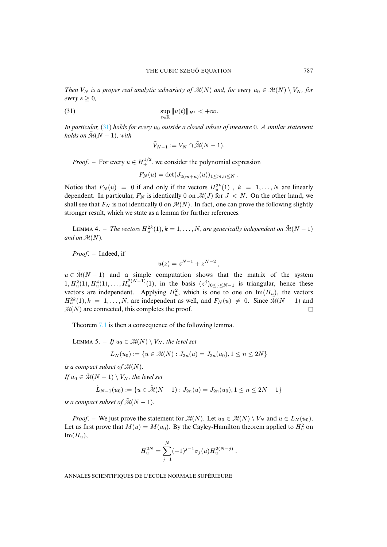*Then*  $V_N$  *is a proper real analytic subvariety of*  $\mathcal{M}(N)$  *and, for every*  $u_0 \in \mathcal{M}(N) \setminus V_N$ , for *every*  $s \geq 0$ *,* 

(31) 
$$
\sup_{t\in\mathbb{R}}\|u(t)\|_{H^s}<+\infty.
$$

*In particular,* (31) *holds for every*  $u_0$  *outside a closed subset of measure* 0*. A similar statement holds on*  $\tilde{M}(N-1)$ *, with* 

<span id="page-27-0"></span>
$$
\tilde{V}_{N-1} := V_N \cap \tilde{\mathcal{M}}(N-1).
$$

*Proof.* – For every  $u \in H_+^{1/2}$ , we consider the polynomial expression

$$
F_N(u) = \det(J_{2(m+n)}(u))_{1 \leq m,n \leq N} .
$$

<span id="page-27-1"></span>Notice that  $F_N(u) = 0$  if and only if the vectors  $H_u^{2k}(1)$ ,  $k = 1, ..., N$  are linearly dependent. In particular,  $F_N$  is identically 0 on  $\mathcal{M}(J)$  for  $J < N$ . On the other hand, we shall see that  $F_N$  is not identically 0 on  $\mathcal{M}(N)$ . In fact, one can prove the following slightly stronger result, which we state as a lemma for further references.

LEMMA 4. – The vectors  $H_u^{2k}(1)$ ,  $k = 1, \ldots, N$ , are generically independent on  $\tilde{\mathcal{M}}(N-1)$ and on  $\mathcal{M}(N)$ .

*Proof*. – Indeed, if

$$
u(z) = z^{N-1} + z^{N-2} ,
$$

 $u \in \tilde{\mathcal{M}}(N-1)$  and a simple computation shows that the matrix of the system  $1, H_u^2(1), H_u^4(1), \ldots, H_u^{2(N-1)}(1)$ , in the basis  $(z^j)_{0 \le j \le N-1}$  is triangular, hence these vectors are independent. Applying  $H_u^2$ , which is one to one on Im( $H_u$ ), the vectors  $H_u^{2k}(1), k = 1, \ldots, N$  $H_u^{2k}(1), k = 1, \ldots, N$  $H_u^{2k}(1), k = 1, \ldots, N$ , are independent as well, and  $F_N(u) \neq 0$ . Since  $\tilde{\mathcal{M}}(N-1)$  and  $\mathcal{M}(N)$  are connected, this completes the proof.  $\Box$ 

<span id="page-27-2"></span>Theorem 7.1 is then a consequence of the following lemma.

LEMMA 5. – *If*  $u_0 \in \mathcal{M}(N) \setminus V_N$ , the level set

$$
L_N(u_0) := \{ u \in \mathcal{M}(N) : J_{2n}(u) = J_{2n}(u_0), 1 \le n \le 2N \}
$$

*is a compact subset of*  $\mathcal{M}(N)$ *.* 

*If*  $u_0 \in \tilde{\mathcal{M}}(N-1) \setminus V_N$ , the level set

$$
\tilde{L}_{N-1}(u_0) := \{ u \in \tilde{\mathcal{M}}(N-1) : J_{2n}(u) = J_{2n}(u_0), 1 \le n \le 2N-1 \}
$$

*is a compact subset of*  $\tilde{\mathcal{M}}(N-1)$ *.* 

*Proof.* – We just prove the statement for  $\mathcal{M}(N)$ . Let  $u_0 \in \mathcal{M}(N) \setminus V_N$  and  $u \in L_N(u_0)$ . Let us first prove that  $M(u) = M(u_0)$ . By the Cayley-Hamilton theorem applied to  $H_u^2$  on  $\text{Im}(H_u)$ ,

$$
H_u^{2N} = \sum_{j=1}^N (-1)^{j-1} \sigma_j(u) H_u^{2(N-j)}.
$$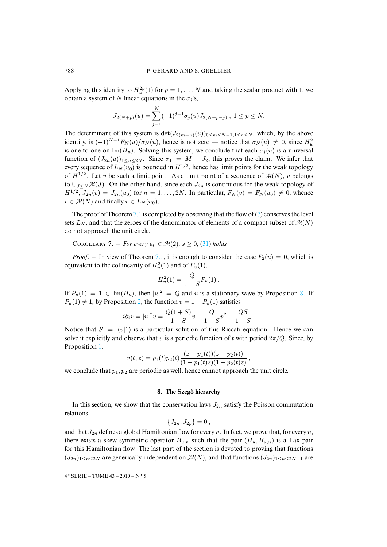Applying this identity to  $H_u^{2p}(1)$  for  $p = 1, ..., N$  and taking the scalar product with 1, we obtain a system of N linear equations in the  $\sigma_j$ 's,

$$
J_{2(N+p)}(u) = \sum_{j=1}^{N} (-1)^{j-1} \sigma_j(u) J_{2(N+p-j)}, \ 1 \le p \le N.
$$

The determinant of this system is  $\det(J_{2(m+n)}(u))_{0 \le m \le N-1,1 \le n \le N}$ , which, by the above identity, is  $(-1)^{N-1}F_N(u)/\sigma_N(u)$ , hence is not zero — notice that  $\sigma_N(u) \neq 0$ , since  $H_u^2$ is one to one on Im( $H_u$ ). Solving this system, we conclude that each  $\sigma_i(u)$  is a universal function of  $(J_{2n}(u))_{1\leq n\leq 2N}$ . Since  $\sigma_1 = M + J_2$ , this proves the claim. We infer that every sequence of  $L_N(u_0)$  is bounded in  $H^{1/2}$ , hence has limit points for the weak topology of  $H^{1/2}$ . Let v be such a limit point. As a limit point of a sequence of  $\mathcal{M}(N)$ , v belongs to  $\cup_{J\leq N} \mathcal{M}(J)$ . On the [othe](#page-26-1)r hand, since each  $J_{2n}$  is continuous for t[he](#page-4-0) weak topology of  $H^{1/2}$ ,  $J_{2n}(v) = J_{2n}(u_0)$  for  $n = 1, \ldots, 2N$ . In particular,  $F_N(v) = F_N(u_0) \neq 0$ , whence  $v \in \mathcal{M}(N)$  and finally  $v \in L_N(u_0)$ .  $\Box$ 

The proof of Theorem 7.1 is completed by observing that the flow of  $(7)$  conserves the level sets  $L_N$ , and that the zeroes of the denominator [of el](#page-27-0)ements of a compact subset of  $\mathcal{M}(N)$ do not approach the unit circle.  $\Box$ 

**COROLLARY** 7. – *For every*  $u_0 \in \mathcal{M}(2)$ ,  $s > 0$ , (31) *holds.* 

*Proof.* – In view of Theorem 7.1, it is enough to consider the case  $F_2(u) = 0$ , which is equivalent to the collinearity of  $H_u^2(1)$  and of  $P_u(1)$ ,

$$
H_u^2(1) = \frac{Q}{1-S} P_u(1) \; .
$$

If  $P_u(1) = 1 \in \text{Im}(H_u)$ , then  $|u|^2 = Q$  and u is a stationary wave by Proposition 8. If  $P_u(1) \neq 1$ , by Proposition 2, the function  $v = 1 - P_u(1)$  satisfies

$$
i\partial_t v = |u|^2 v = \frac{Q(1+S)}{1-S}v - \frac{Q}{1-S}v^2 - \frac{QS}{1-S}.
$$

Notice that  $S = (v|1)$  is a particular solution of this Riccati equation. Hence we can solve it explicitly and observe that v is a periodic function of t with period  $2\pi/Q$ . Since, by Proposition 1,

$$
v(t,z) = p_1(t)p_2(t)\frac{(z-\overline{p_1}(t))(z-\overline{p_2}(t))}{(1-p_1(t)z)(1-p_2(t)z)},
$$

 $\Box$ 

<span id="page-28-0"></span>we conclude that  $p_1, p_2$  are periodic as well, hence cannot approach the unit circle.

#### **8. The Szego hierarchy ˝**

In this section, we show that the conservation laws  $J_{2n}$  satisfy the Poisson commutation relations

$$
\{J_{2n},J_{2p}\}=0\ ,
$$

and that  $J_{2n}$  defines a global Hamiltonian flow for every n. In fact, we prove that, for every n, there exists a skew symmetric operator  $B_{u,n}$  such that the pair  $(H_u, B_{u,n})$  is a Lax pair for this Hamiltonian flow. The last part of the section is devoted to proving that functions  $(J_{2n})_{1\leq n\leq 2N}$  are generically independent on  $\mathcal{M}(N)$ , and that functions  $(J_{2n})_{1\leq n\leq 2N+1}$  are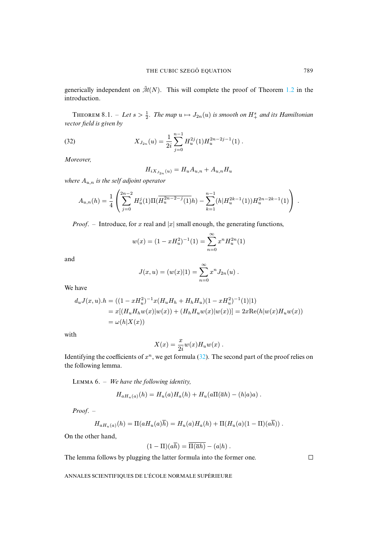generically independent on  $\tilde{\mathcal{M}}(N)$ . This will complete the proof of Theorem 1.2 in the introduction.

THEOREM 8.1. – Let  $s > \frac{1}{2}$ . The map  $u \mapsto J_{2n}(u)$  is smooth on  $H^s_+$  and its Hamiltonian *vector field is given by*

(32) 
$$
X_{J_{2n}}(u) = \frac{1}{2i} \sum_{j=0}^{n-1} H_u^{2j}(1) H_u^{2n-2j-1}(1) .
$$

*Moreover,*

$$
H_{iX_{J_{2n}}(u)} = H_u A_{u,n} + A_{u,n} H_u
$$

*where* Au,n *is the self adjoint operator*

$$
A_{u,n}(h) = \frac{1}{4} \left( \sum_{j=0}^{2n-2} H_u^j(1) \Pi(\overline{H_u^{2n-2-j}(1)}h) - \sum_{k=1}^{n-1} (h|H_u^{2k-1}(1)) H_u^{2n-2k-1}(1) \right).
$$

*Proof.* – Introduce, for x real and  $|x|$  small enough, the generating functions,

$$
w(x) = (1 - xH_u^2)^{-1}(1) = \sum_{n=0}^{\infty} x^n H_u^{2n}(1)
$$

and

$$
J(x, u) = (w(x)|1) = \sum_{n=0}^{\infty} x^n J_{2n}(u) .
$$

We have

$$
d_u J(x, u).h = ((1 - xH_u^2)^{-1}x(H_u H_h + H_h H_u)(1 - xH_u^2)^{-1}(1)|1)
$$
  
=  $x[(H_u H_h w(x)|w(x)) + (H_h H_u w(x)|w(x))] = 2x \text{Re}(h|w(x)H_u w(x))$   
=  $\omega(h|X(x))$ 

with

$$
X(x) = \frac{x}{2i}w(x)H_u w(x) .
$$

<span id="page-29-0"></span>Identifying the coefficients of  $x^n$ , we get formula (32). The second part of the proof relies on the following lemma.

LEMMA 6. – *We have the following identity*,

$$
H_{aH_u(a)}(h) = H_u(a)H_a(h) + H_u(a\Pi(\overline{a}h) - (h|a)a) .
$$

*Proof*. –

$$
H_{aH_u(a)}(h) = \Pi(aH_u(a)\overline{h}) = H_u(a)H_a(h) + \Pi(H_u(a)(1 - \Pi)(a\overline{h}))
$$

On the other hand,

$$
(1-\Pi)(a\overline{h})=\Pi(\overline{a}h)-(a|h) .
$$

The lemma follows by plugging the latter formula into the former one.

 $\Box$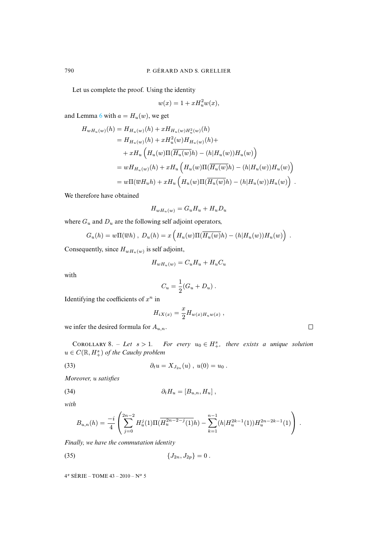Let us co[mp](#page-29-0)lete the proof. Using the identity

$$
w(x) = 1 + xH_u^2w(x),
$$

and Lemma 6 with  $a = H_u(w)$ , we get

$$
H_{wH_u(w)}(h) = H_{H_u(w)}(h) + xH_{H_u(w)H_u^2(w)}(h)
$$
  
\n
$$
= H_{H_u(w)}(h) + xH_u^2(w)H_{H_u(w)}(h) +
$$
  
\n
$$
+ xH_u \left( H_u(w) \Pi(\overline{H_u(w)}h) - (h|H_u(w))H_u(w) \right)
$$
  
\n
$$
= wH_{H_u(w)}(h) + xH_u \left( H_u(w) \Pi(\overline{H_u(w)}h) - (h|H_u(w))H_u(w) \right)
$$
  
\n
$$
= w\Pi(\overline{w}H_u h) + xH_u \left( H_u(w) \Pi(\overline{H_u(w)}h) - (h|H_u(w))H_u(w) \right).
$$

We therefore have obtained

$$
H_{wH_u(w)} = G_u H_u + H_u D_u
$$

where  $G_u$  and  $D_u$  are the following self adjoint operators,

$$
G_u(h) = w\Pi(\overline{w}h) , D_u(h) = x\left(H_u(w)\Pi(\overline{H_u(w)}h) - (h|H_u(w))H_u(w)\right) .
$$

Consequently, since  $H_{wH_u(w)}$  is self adjoint,

$$
H_{wH_u(w)} = C_u H_u + H_u C_u
$$

with

$$
C_u = \frac{1}{2}(G_u + D_u) .
$$

Identifying the coefficients of  $x^n$  in

<span id="page-30-0"></span>
$$
H_{iX(x)} = \frac{x}{2} H_{w(x)H_u w(x)} ,
$$

<span id="page-30-2"></span>we infer the desired formula for  $A_{u,n}$ .

COROLLARY 8. – Let  $s > 1$ . For every  $u_0 \in H^s_+$ , there exists a unique solution  $u \in C(\mathbb{R}, H^s_+)$  of the Cauchy problem

(33) 
$$
\partial_t u = X_{J_{2n}}(u) , u(0) = u_0 .
$$

*Moreover,* u *satisfies*

$$
(34) \t\t\t \partial_t H_u = [B_{u,n}, H_u],
$$

*with*

<span id="page-30-1"></span>
$$
B_{u,n}(h) = \frac{-i}{4} \left( \sum_{j=0}^{2n-2} H_u^j(1) \Pi(\overline{H_u^{2n-2-j}(1)} h) - \sum_{k=1}^{n-1} (h | H_u^{2k-1}(1)) H_u^{2n-2k-1}(1) \right).
$$

*Finally, we have the commutation identity*

(35) 
$$
\{J_{2n}, J_{2p}\} = 0.
$$

| ____ |  |
|------|--|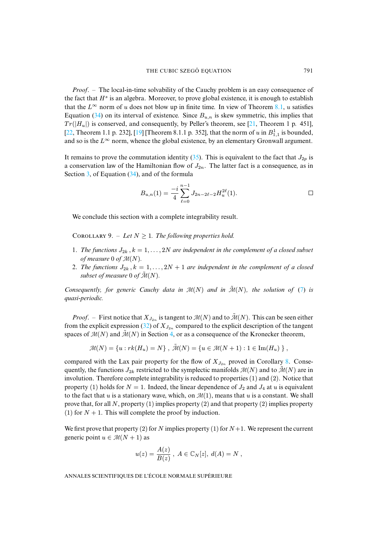*Proof*. – [T](#page-30-0)he local-in-time solvability of the Cauchy problem is an easy consequence of the fact that  $H^s$  is an algebra. Moreover, to prove global existence, [it i](#page-49-12)s enough to establish [that](#page-49-4) the  $L^{\infty}$  norm of u d[oes](#page-49-5) not blow up in finite time. In view of Theorem 8.1, u satisfies Equation (34) on its interval of existence. Since  $B_{u,n}$  is skew symmetric, this implies that  $Tr(|H_u|)$  is conserved, and consequently, by Peller's theorem, see [21, Theorem 1 p. 451], [22, Theorem 1.1 p. 232], [19] [Theorem 8.1.1 p[. 35](#page-30-1)2], that the norm of u in  $B_{1,1}^1$  is bounded, and so is the  $L^{\infty}$  norm, whence the global existence, by an elementary Gronwall argument.

It remains to prove the commutation identity (35). This is equivalent to the fact that  $J_{2p}$  is a conservation law of the Hamiltonian flow of  $J_{2n}$ . The latter fact is a consequence, as in Section 3, of Equation (34), and of the formula

$$
B_{u,n}(1) = \frac{-i}{4} \sum_{\ell=0}^{n-1} J_{2n-2\ell-2} H_u^{2\ell}(1).
$$

We conclude this section with a complete integrability result.

COROLLARY 9. – Let  $N \geq 1$ . The following properties hold.

- 1. *The functions*  $J_{2k}$ ,  $k = 1, ..., 2N$  *are independent in the complement of a closed subset of measure* 0 *of*  $\mathcal{M}(N)$ .
- 2. *The functions*  $J_{2k}$ ,  $k = 1, ..., 2N + 1$  *are independent in the complement of a [clo](#page-4-0)sed subset of measure* 0 *of*  $\tilde{\mathcal{M}}(N)$ *.*

*Consequently, for generic Cauchy data in*  $\mathcal{M}(N)$  *and in*  $\tilde{\mathcal{M}}(N)$ *, the solution of* (7) *is quasi-periodic.*

*Proof.* – First notice that  $X_{J_{2n}}$  is tangent to  $\mathcal{M}(N)$  and to  $\tilde{\mathcal{M}}(N)$ . This can be seen either from the explicit expression (32) of  $X_{J_{2n}}$  compared to the explicit description of the tangent spaces of  $\mathcal{M}(N)$  and  $\tilde{\mathcal{M}}(N)$  in Section 4, or as a consequence of t[he](#page-30-2) Kronecker theorem,

$$
\mathcal{M}(N) = \{u : rk(H_u) = N\}, \ \tilde{\mathcal{M}}(N) = \{u \in \mathcal{M}(N+1) : 1 \in \text{Im}(H_u) \},
$$

compared with the Lax pair property for the flow of  $X_{J_{2n}}$  proved in Corollary 8. Consequently, the functions  $J_{2k}$  restricted to the symplectic manifolds  $\mathcal{M}(N)$  and to  $\mathcal{M}(N)$  are in involution. Therefore complete integrability is reduced to properties (1) and (2). Notice that property (1) holds for  $N = 1$ . Indeed, the linear dependence of  $J_2$  and  $J_4$  at u is equivalent to the fact that u is a stationary wave, which, on  $\mathcal{M}(1)$ , means that u is a constant. We shall prove that, for all N, property (1) implies property (2) and that property (2) implies property (1) for  $N + 1$ . This will complete the proof by induction.

We first prove that property (2) for N implies property (1) for  $N+1$ . We represent the current generic point  $u \in \mathcal{M}(N+1)$  as

$$
u(z) = \frac{A(z)}{B(z)}, A \in \mathbb{C}_N[z], d(A) = N,
$$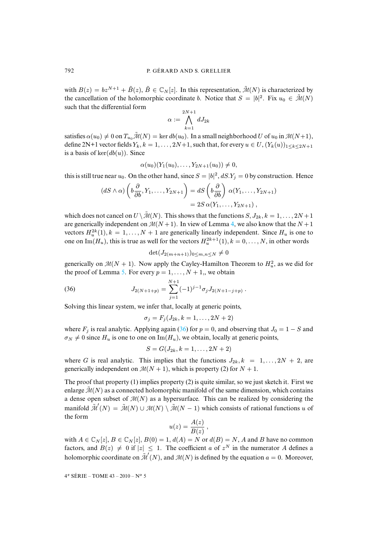with  $B(z) = bz^{N+1} + \tilde{B}(z)$ ,  $\tilde{B} \in \mathbb{C}_N[z]$ . In this representation,  $\tilde{\mathcal{M}}(N)$  is characterized by the cancellation of the holomorphic coordinate b. Notice that  $S = |b|^2$ . Fix  $u_0 \in \mathcal{M}(N)$ such that the differential form

$$
\alpha:=\bigwedge_{k=1}^{2N+1}dJ_{2k}
$$

satisfies  $\alpha(u_0) \neq 0$  on  $T_{u_0} \tilde{\mathcal{M}}(N) = \ker db(u_0)$ . In a small neighborhood U of  $u_0$  in  $\mathcal{M}(N+1)$ , define 2N+1 vector fields  $Y_k$ ,  $k = 1, \ldots, 2N+1$ , such that, for every  $u \in U$ ,  $(Y_k(u))_{1 \leq k \leq 2N+1}$ is a basis of  $\text{ker}(db(u))$ . Since

$$
\alpha(u_0)(Y_1(u_0),\ldots,Y_{2N+1}(u_0))\neq 0,
$$

this is still true near  $u_0$ . On the other hand, since  $S = |b|^2$ ,  $dS Y_j = 0$  by construction. Hence

$$
(dS \wedge \alpha) \left(b \frac{\partial}{\partial b}, Y_1, \dots, Y_{2N+1}\right) = dS \left(b \frac{\partial}{\partial b}\right) \alpha(Y_1, \dots, Y_{2N+1})
$$
  
=  $2S \alpha(Y_1, \dots, Y_{2N+1}),$ 

which does not cancel on  $U \setminus \mathcal{M}(N)$ . This shows that the functions  $S, J_{2k}, k = 1, \ldots, 2N + 1$ are generically independent on  $M(N + 1)$ . In view of Lemma 4, we also know that the  $N + 1$ vectors  $H_u^{2k}(1)$ ,  $k = 1, ..., N + 1$  are generically linearly independent. Since  $H_u$  is one to one on Im( $H_u$ ), this [is](#page-27-2) true as well for the vectors  $H_u^{2k+1}(1)$ ,  $k = 0, \ldots, N$ , in other words

<span id="page-32-0"></span>
$$
\det(J_{2(m+n+1)})_{0\leq m,n\leq N}\neq 0
$$

generically on  $M(N + 1)$ . Now apply the Cayley-Hamilton Theorem to  $H_u^2$ , as we did for the proof of Lemma 5. For every  $p = 1, \ldots, N + 1$ , we obtain

(36) 
$$
J_{2(N+1+p)} = \sum_{j=1}^{N+1} (-1)^{j-1} \sigma_j J_{2(N+1-j+p)}.
$$

Solving this linear system, we infer that, l[oca](#page-32-0)lly at generic points,

$$
\sigma_j = F_j(J_{2k}, k=1,\ldots,2N+2)
$$

where  $F_i$  is real analytic. Applying again (36) for  $p = 0$ , and observing that  $J_0 = 1 - S$  and  $\sigma_N \neq 0$  since  $H_u$  is one to one on Im( $H_u$ ), we obtain, locally at generic points,

$$
S=G(J_{2k},k=1,\ldots,2N+2)
$$

where G is real analytic. This implies that the functions  $J_{2k}$ ,  $k = 1, \ldots, 2N + 2$ , are generically independent on  $\mathcal{M}(N + 1)$ , which is property (2) for  $N + 1$ .

The proof that property (1) implies property (2) is quite similar, so we just sketch it. First we enlarge  $\tilde{\mathcal{M}}(N)$  as a connected holomorphic manifold of the same dimension, which contains a dense open subset of  $M(N)$  as a hypersurface. This can be realized by considering the manifold  $\tilde{\mathcal{M}}'(N) = \tilde{\mathcal{M}}(N) \cup \mathcal{M}(N) \setminus \tilde{\mathcal{M}}(N-1)$  which consists of rational functions u of the form

$$
u(z) = \frac{A(z)}{B(z)},
$$

with  $A \in \mathbb{C}_N[z], B \in \mathbb{C}_N[z], B(0) = 1, d(A) = N$  or  $d(B) = N$ , A and B have no common factors, and  $B(z) \neq 0$  if  $|z| \leq 1$ . The coefficient a of  $z^N$  in the numerator A defines a holomorphic coordinate on  $\tilde{\mathcal{M}}'(N)$ , and  $\mathcal{M}(N)$  is defined by the equation  $a = 0$ . Moreover,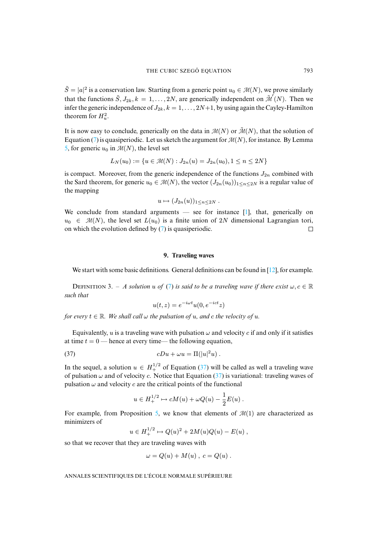$\tilde{S} = |a|^2$  is a conservation law. Starting from a generic point  $u_0 \in \mathcal{M}(N)$ , we prove similarly that the functions  $\tilde{S}, J_{2k}, k = 1, ..., 2N$ , are generically independent on  $\tilde{\mathcal{M}}(N)$ . Then we infer the generic independence of  $J_{2k}$ ,  $k = 1, \ldots, 2N+1$ , by using again the Cayley-Hamilton [th](#page-27-2)e[or](#page-4-0)em for  $H_u^2$ .

It is now easy to conclude, generically on the data in  $\mathcal{M}(N)$  or  $\tilde{\mathcal{M}}(N)$ , that the solution of Equation (7) is quasiperiodic. Let us sketch the argument for  $\mathcal{M}(N)$ , for instance. By Lemma 5, for generic  $u_0$  in  $\mathcal{M}(N)$ , the level set

$$
L_N(u_0) := \{ u \in \mathcal{M}(N) : J_{2n}(u) = J_{2n}(u_0), 1 \le n \le 2N \}
$$

is compact. Moreover, from the generic independence of the functions  $J_{2n}$  combined with the Sard theorem, for generic  $u_0 \in \mathcal{M}(N)$ , the vector  $(J_{2n}(u_0))_{1 \le n \le 2N}$  is a regular value of the mapping

$$
u\mapsto (J_{2n}(u))_{1\leq n\leq 2N}.
$$

<span id="page-33-0"></span>We conclude from standard arguments  $-$  see for instance [1], that, generically on  $u_0 \in \mathcal{M}(N)$ , the level set  $L(u_0)$  is a finite union of 2N dimensional Lagrangian tori, on which the evolution defined by (7) is quasiperiodic.  $\Box$ 

#### **9[. T](#page-4-0)raveling waves**

We start with some basic definitions. General definitions can be found in [12], for example.

DEFINITION 3. – *A solution* u of (7) is said to be a traveling wave if there exist  $\omega, c \in \mathbb{R}$ *such that*

<span id="page-33-1"></span>
$$
u(t,z) = e^{-i\omega t}u(0, e^{-ict}z)
$$

*for every*  $t \in \mathbb{R}$ *. We shall call*  $\omega$  *the pulsation of*  $u$ *, and c the velocity of*  $u$ *.* 

Equivalently, u is a traveling wave with pulsation  $\omega$  and velocity c if and only if it satisfies at time  $t = 0$  — hence at every time— the followi[ng e](#page-33-1)quation,

(37) 
$$
cDu + \omega u = \Pi(|u|^2 u) .
$$

In the sequel, a solution  $u \in H_+^{1/2}$  of Equation (37) will be called as well a traveling wave of pulsation  $\omega$  and of velocity c. Notice that Equation (37) is variational: traveling waves of pulsation  $\omega$  and velocity c are th[e c](#page-19-1)ritical points of the functional

$$
u\in H_+^{1/2}\mapsto cM(u)+\omega Q(u)-\frac{1}{2}E(u)\ .
$$

For example, from Proposition 5, we know that elements of  $\mathcal{M}(1)$  are characterized as minimizers of

$$
u \in H_+^{1/2} \mapsto Q(u)^2 + 2M(u)Q(u) - E(u) ,
$$

so that we recover that they are traveling waves with

$$
\omega = Q(u) + M(u) , c = Q(u) .
$$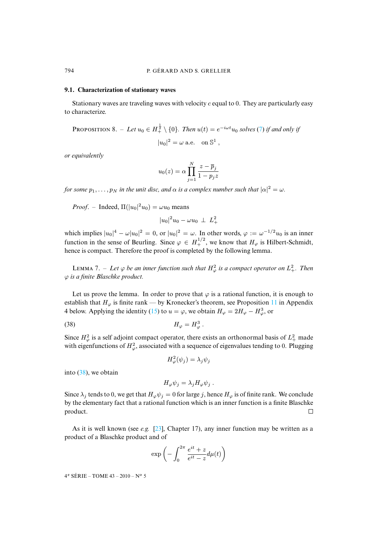#### **9.1. Characterization of stationary waves**

Stationary waves [ar](#page-4-0)e traveling waves with velocity  $c$  equal to 0. They are particularly easy to characterize.

PROPOSITION 8. – Let 
$$
u_0 \in H^{\frac{1}{2}} \setminus \{0\}
$$
. Then  $u(t) = e^{-i\omega t} u_0$  solves (7) if and only if  

$$
|u_0|^2 = \omega \text{ a.e. on } \mathbb{S}^1,
$$

*or equivalently*

$$
u_0(z)=\alpha\prod_{j=1}^N\frac{z-\overline{p}_j}{1-p_jz}
$$

*for some*  $p_1, \ldots, p_N$  *in the unit disc, and*  $\alpha$  *is a complex number such that*  $|\alpha|^2 = \omega$ *.* 

*Proof.* – Indeed,  $\Pi(|u_0|^2 u_0) = \omega u_0$  means

$$
|u_0|^2 u_0 - \omega u_0 \perp L_+^2
$$

which implies  $|u_0|^4 - \omega |u_0|^2 = 0$ , or  $|u_0|^2 = \omega$ . In other words,  $\varphi := \omega^{-1/2} u_0$  is an inner function in the sense of Beurling. Since  $\varphi \in H_+^{1/2}$ , we know that  $H_\varphi$  is Hilbert-Schmidt, hence is compact. Therefore the proof is completed by the following lemma.

LEMMA 7. – Let  $\varphi$  be an inner function such that  $H^2_{\varphi}$  is a compact operator on  $L^2_+$ . Then ϕ *is a finite Blaschke product.*

Let us prove the lemma. In order to prove that  $\varphi$  is a rational function, it is enough to establish that  $H_{\varphi}$  is finite rank — by Kronecker's theorem, see Proposition 11 in Appendix 4 below. Applying the identity (15) to  $u = \varphi$ , we obtain  $H_{\varphi} = 2H_{\varphi} - H_{\varphi}^3$ , or

$$
(38) \t\t H_{\varphi} = H_{\varphi}^3 \, .
$$

Since  $H^2_\varphi$  is a self adjoint compact operator, there exists an orthonormal basis of  $L^2_+$  made with [eige](#page-34-0)nfunctions of  $H^2_\varphi$ , associated with a sequence of eigenvalues tending to 0. Plugging

<span id="page-34-0"></span>
$$
H^2_{\varphi}(\psi_j) = \lambda_j \psi_j
$$

into (38), we obtain

$$
H_{\varphi}\psi_j = \lambda_j H_{\varphi}\psi_j .
$$

Since  $\lambda_j$  tends to 0, we get that  $H_{\varphi}\psi_j = 0$  for large j, hence  $H_{\varphi}$  is of finite rank. We conclude by the elementary fact that a rati[ona](#page-49-16)l function which is an inner function is a finite Blaschke product.  $\Box$ 

As it is well known (see *e.g.* [23], Chapter 17), any inner function may be written as a product of a Blaschke product and of

$$
\exp\left(-\int_0^{2\pi} \frac{e^{it} + z}{e^{it} - z} d\mu(t)\right)
$$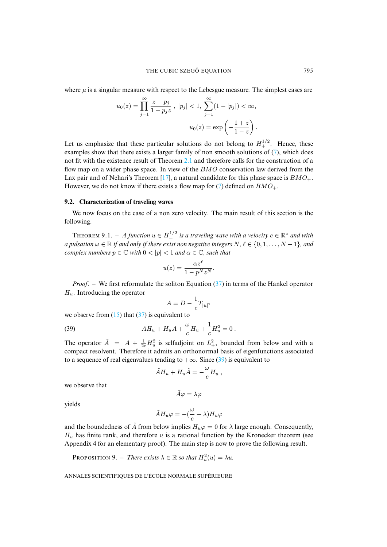where  $\mu$  is a singular measure with respect to the Lebesgue measure. The simplest cases are

$$
u_0(z) = \prod_{j=1}^{\infty} \frac{z - \overline{p_j}}{1 - p_j z}, \ |p_j| < 1, \ \sum_{j=1}^{\infty} (1 - |p_j|) < \infty,
$$
\n
$$
u_0(z) = \exp\left(-\frac{1 + z}{1 - z}\right).
$$

Let us emphasize that these particular solutions do not belong to  $H_+^{1/2}$ . Hence, these examples show that there exists a l[arge](#page-49-17)r family of non smooth solutions of (7), which does not fit with the existence result of Theorem 2.1 and ther[efo](#page-4-0)re calls for the construction of a flow map on a wider phase space. In view of the BMO conservation law derived from the Lax pair and of Nehari's Theorem [17], a natural candidate for this phase space is  $BMO_+$ . However, we do not know if there exists a flow map for (7) defined on  $BMO_+$ .

#### <span id="page-35-1"></span>**9.2. Characterization of traveling waves**

We now focus on the case of a non zero velocity. The main result of this section is the following.

**THEOREM** 9.1. – A function  $u \in H_+^{1/2}$  is a traveling wave with a velocity  $c \in \mathbb{R}^*$  and with *a pulsation*  $\omega \in \mathbb{R}$  *if and only if there exist non negative integers*  $N, \ell \in \{0, 1, \ldots, N-1\}$ *, and complex numbers*  $p \in \mathbb{C}$  *with*  $0 < |p| < 1$  *and*  $\alpha \in \mathbb{C}$ *, su[ch th](#page-33-1)at* 

$$
u(z) = \frac{\alpha z^{\ell}}{1 - p^N z^N}.
$$

*Proof*. – We first reformulate the soliton Equation (37) in terms of the Hankel operator  $H_u$ . Introducing [the](#page-11-0) opera[tor](#page-33-1)

<span id="page-35-0"></span>
$$
A = D - \frac{1}{c} T_{|u|^2}
$$

we observe from  $(15)$  that  $(37)$  is equivalent to

(39) 
$$
AH_u + H_uA + \frac{\omega}{c}H_u + \frac{1}{c}H_u^3 = 0.
$$

The operator  $\tilde{A} = A + \frac{1}{2c}H_u^2$  is selfadjoint on  $L_+^2$ , bounded from below and with a compact resolvent. Therefore it admits an orthonormal basis of eigenfunctions associated to a sequence of real eigenvalues tending to  $+\infty$ . Since (39) is equivalent to

$$
\tilde{A}H_u + H_u\tilde{A} = -\frac{\omega}{c}H_u,
$$

we observe that

$$
\tilde{A}\varphi=\lambda\varphi
$$

yields

$$
\tilde{A}H_u\varphi = -(\frac{\omega}{c} + \lambda)H_u\varphi
$$

<span id="page-35-2"></span>and the boundedness of  $\tilde{A}$  from below implies  $H_u\varphi = 0$  for  $\lambda$  large enough. Consequently,  $H_u$  has finite rank, and therefore u is a rational function by the Kronecker theorem (see Appendix 4 for an elementary proof). The main step is now to prove the following result.

**PROPOSITION 9.** – *There exists*  $\lambda \in \mathbb{R}$  *so that*  $H_u^2(u) = \lambda u$ *.*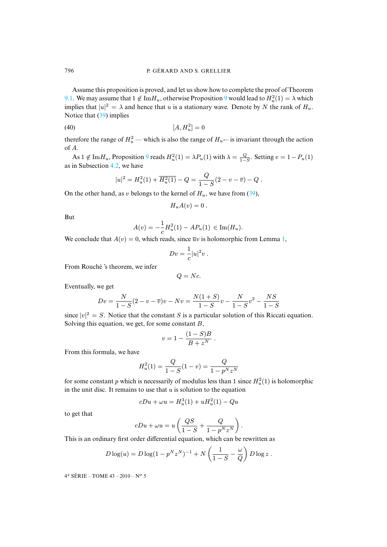Assume t[his p](#page-35-0)roposition is proved, and let us show how to complete the proof of Theorem 9.1. We may assume that  $1 \notin \text{Im} H_u$ , otherwise Proposition 9 would lead to  $H_u^2(1) = \lambda$  which implies that  $|u|^2 = \lambda$  and hence that u is a stationary wave. Denote by N the rank of  $H_u$ . Notice that (39) implies

$$
[A, H_u^2] = 0
$$

therefore the ra[nge o](#page-14-1)f  $H_u^2$  — [wh](#page-35-2)ich is also the range of  $H_u$ — is invariant through the action of A.

As  $1 \notin \text{Im} H_u$ , Proposition 9 reads  $H_u^2(1) = \lambda P_u(1)$  with  $\lambda = \frac{Q}{1-S}$ . Setting  $v = 1 - P_u(1)$ as in Subsection 4.2, we have

$$
|u|^2 = H_u^2(1) + \overline{H_u^2(1)} - Q = \frac{Q}{1-S}(2-v-\overline{v}) - Q.
$$

On the other hand, as v belongs to the kernel of  $H_u$ , we have from (39),

$$
H_u A(v) = 0.
$$

But

$$
A(v) = -\frac{1}{c}H_u^2(1) - AP_u(1) \in \text{Im}(H_u).
$$

We conclude that  $A(v) = 0$ , which reads, since  $\overline{u}v$  is holomorphic from Lemma 1,

$$
Dv = \frac{1}{c}|u|^2v.
$$

From Rouché 's theorem, we infer

$$
Q= Nc.
$$

Eventually, we get

$$
Dv = \frac{N}{1-S}(2-v-\overline{v})v - Nv = \frac{N(1+S)}{1-S}v - \frac{N}{1-S}v^2 - \frac{NS}{1-S}
$$

since  $|v|^2 = S$ . Notice that the constant S is a particular solution of this Riccati equation. Solving this equation, we get, for some constant  $B$ ,

$$
v = 1 - \frac{(1 - S)B}{B + z^N} \; .
$$

From this formula, we have

$$
H_u^2(1) = \frac{Q}{1 - S}(1 - v) = \frac{Q}{1 - p^N z^N}
$$

for some constant p which is necessarily of modulus less than 1 since  $H_u^2(1)$  is holomorphic in the unit disc. It remains to use that  $u$  is solution to the equation

$$
cDu + \omega u = H_u^3(1) + uH_u^2(1) - Qu
$$

to get that

$$
cDu + \omega u = u\left(\frac{QS}{1-S} + \frac{Q}{1-p^Nz^N}\right).
$$

This is an ordinary first order differential equation, which can be rewritten as

$$
D \log(u) = D \log(1 - p^{N} z^{N})^{-1} + N \left( \frac{1}{1 - S} - \frac{\omega}{Q} \right) D \log z.
$$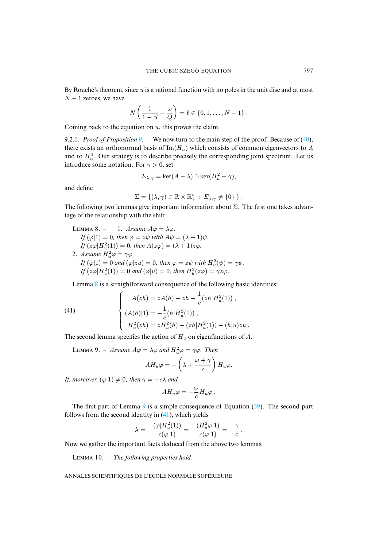By Rouché's theorem, since  $u$  is a rational function with no poles in the unit disc and at most  $N - 1$  zeroes, we have

$$
N\left(\frac{1}{1-S}-\frac{\omega}{Q}\right)=\ell\in\{0,1,\ldots,N-1\}.
$$

Coming back to the equation on  $u$ , this proves the claim.

9.2.1*. Proof of Proposition 9*. – We now turn to the main step of the proof. Because of (40), there exists an orthonormal basis of  $\text{Im}(H_u)$  which consists of common eigenvectors to A and to  $H_u^2$ . Our strategy is to describe precisely the corresponding joint spectrum. Let us introduce some notation. For  $\gamma > 0$ , set

$$
E_{\lambda,\gamma} = \ker(A - \lambda) \cap \ker(H_u^2 - \gamma),
$$

<span id="page-37-0"></span>and define

$$
\Sigma = \{ (\lambda, \gamma) \in \mathbb{R} \times \mathbb{R}_+^* : E_{\lambda, \gamma} \neq \{0\} \}.
$$

The following two lemmas give important information about  $\Sigma$ . The first one takes advantage of the relationship with the shift.

LEMMA 8. – 1. Assume 
$$
A\varphi = \lambda \varphi
$$
.  
\nIf  $(\varphi|1) = 0$ , then  $\varphi = z\psi$  with  $A\psi = (\lambda - 1)\psi$ .  
\nIf  $(z\varphi|H_u^2(1)) = 0$ , then  $A(z\varphi) = (\lambda + 1)z\varphi$ .  
\n2. Assume  $H_u^2\varphi = \gamma\varphi$ .  
\nIf  $(\varphi|1) = 0$  and  $(\varphi|zu) = 0$ , then  $\varphi = z\psi$  with  $H_u^2(\psi) = \gamma\psi$ .  
\nIf  $(z\varphi|H_u^2(1)) = 0$  and  $(\varphi|u) = 0$ , then  $H_u^2(z\varphi) = \gamma z\varphi$ .

<span id="page-37-2"></span>Lemma 8 is a straightforward consequence of the following basic identities:

(41)  

$$
\begin{cases}\nA(zh) = zA(h) + zh - \frac{1}{c}(zh|H_u^2(1)), \\
(A(h)|1) = -\frac{1}{c}(h|H_u^2(1)), \\
H_u^2(zh) = zH_u^2(h) + (zh|H_u^2(1)) - (h|u)zu.\n\end{cases}
$$

<span id="page-37-1"></span>The second lemma specifies the action of  $H_u$  on eigenfunctions of A.

LEMMA 9. – *Assume*  $A\varphi = \lambda\varphi$  *and*  $H_u^2\varphi = \gamma\varphi$ *. Then*  $AH_u\varphi=-\left(\lambda+\frac{\omega+\gamma}{\rho}\right)$ c  $\Big)$   $H_u\varphi$ .

*If, moreover,*  $(\varphi|1) \neq 0$ *, then*  $\gamma = -c\lambda$  *and* 

$$
AH_u\varphi=-\frac{\omega}{c}H_u\varphi.
$$

<span id="page-37-3"></span>The first part of Lemma 9 is a simple consequence of Equation (39). The second part follows from the second identity in (41), which yields

$$
\lambda=-\frac{(\varphi|H_u^2(1))}{c(\varphi|1)}=-\frac{(H_u^2\varphi|1)}{c(\varphi|1)}=-\frac{\gamma}{c}.
$$

Now we gather the important facts deduced from the above two lemmas.

LEMMA 10. – *The following properties hold*.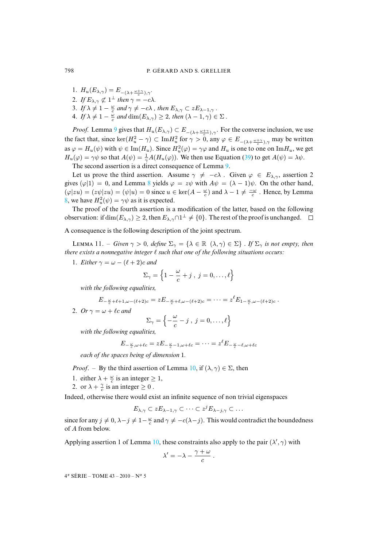- 1.  $H_u(E_{\lambda,\gamma}) = E_{-(\lambda + \frac{\omega + \gamma}{c}),\gamma}$ .
- 2. If  $E_{\lambda,\gamma} \not\subset 1^{\perp}$  then  $\gamma = -c\lambda$ .
- 3. *If*  $\lambda \neq 1 \frac{\omega}{c}$  and  $\gamma \neq -c\lambda$  *, then*  $E_{\lambda,\gamma} \subset zE_{\lambda-1,\gamma}$ .
- 4. *If*  $\lambda \neq 1 \frac{\omega}{c}$  and  $\dim(E_{\lambda,\gamma}) \geq 2$ , then  $(\lambda 1, \gamma) \in \Sigma$ .

*Proof.* Lemma 9 gives that  $H_u(E_{\lambda,\gamma}) \subset E_{-(\lambda+\frac{\omega+\gamma}{c}),\gamma}$ . For the [con](#page-35-0)verse inclusion, we use the fact that, since  $\ker(H_u^2 - \gamma) \subset \text{Im} H_u^2$  for  $\gamma > 0$ , any  $\varphi \in E_{-(\lambda + \frac{\omega + \gamma}{c}), \gamma}$  may be written as  $\varphi = H_u(\psi)$  with  $\psi \in \text{Im}(H_u)$ . Since  $H_u^2(\varphi) = \gamma \varphi$  and  $H_u$  is one to one on  $\text{Im}H_u$ , we get  $H_u(\varphi) = \gamma \psi$  so that  $A(\psi) = \frac{1}{\gamma} A(H_u(\varphi))$  $A(\psi) = \frac{1}{\gamma} A(H_u(\varphi))$ . We then use Equation (39) to get  $A(\psi) = \lambda \psi$ .

The second assertion is a direct consequence of Lemma 9.

Let us prove the third assertion. Assume  $\gamma \neq -c\lambda$ . Given  $\varphi \in E_{\lambda,\gamma}$ , assertion 2 gives  $(\varphi|1) = 0$ , and Lemma 8 yields  $\varphi = z\psi$  with  $A\psi = (\lambda - 1)\psi$ . On the other hand,  $(\varphi |zu) = (z\psi |zu) = (\psi |u) = 0$  since  $u \in \text{ker}(A - \frac{\omega}{c})$  and  $\lambda - 1 \neq \frac{-\omega}{c}$ . Hence, by Lemma 8, we have  $H_u^2(\psi) = \gamma \psi$  as it is expected.

<span id="page-38-0"></span>The proof of the fourth assertion is a modification of the latter, based on the following observation: if  $\dim(E_{\lambda,\gamma}) \geq 2$ , then  $E_{\lambda,\gamma} \cap 1^{\perp} \neq \{0\}$ . The rest of the proof is unchanged.

A consequence is the following description of the joint spectrum.

LEMMA 11. – *Given*  $\gamma > 0$ , *define*  $\Sigma_{\gamma} = {\lambda \in \mathbb{R} \ (\lambda, \gamma) \in \Sigma}$ . If  $\Sigma_{\gamma}$  *is not empty, then there exists a nonnegative integer*  $\ell$  *such that one of the following situations occurs.* 

1. *Either*  $\gamma = \omega - (\ell + 2)c$  *and* 

$$
\Sigma_{\gamma} = \left\{1 - \frac{\omega}{c} + j \; , \; j = 0, \ldots, \ell\right\}
$$

*with the following equalities,*

$$
E_{-\frac{\omega}{c}+\ell+1,\omega-(\ell+2)c} = z E_{-\frac{\omega}{c}+\ell,\omega-(\ell+2)c} = \cdots = z^{\ell} E_{1-\frac{\omega}{c},\omega-(\ell+2)c}.
$$

2. *Or*  $\gamma = \omega + \ell c$  *and* 

$$
\Sigma_{\gamma} = \left\{-\frac{\omega}{c} - j \; , \; j = 0, \ldots, \ell \right\}
$$

*with the following equalities,*

$$
E_{-\frac{\omega}{c},\omega+\ell c}=zE_{-\frac{\omega}{c}-1,\omega+\ell c}=\cdots=z^{\ell}E_{-\frac{\omega}{c}-\ell,\omega+\ell c}
$$

*each of the spaces being of dimension* 1*.*

*Proof.* – By the third assertion of Lemma 10, if  $(\lambda, \gamma) \in \Sigma$ , then

- 1. either  $\lambda + \frac{\omega}{c}$  is an integer  $\geq 1$ ,
- 2. or  $\lambda + \frac{\gamma}{c}$  is an integer  $\geq 0$ .

Indeed, otherwise there would exist an infinite sequence of non trivial eigenspaces

$$
E_{\lambda,\gamma} \subset z E_{\lambda-1,\gamma} \subset \cdots \subset z^j E_{\lambda-j,\gamma} \subset \cdots
$$

since for [an](#page-37-3)y  $j \neq 0$ ,  $\lambda - j \neq 1-\frac{\omega}{c}$  and  $\gamma \neq -c(\lambda - j)$ . This would contradict the boundedness of A from below.

Applying assertion 1 of Lemma 10, these constraints also apply to the pair  $(\lambda', \gamma)$  with

$$
\lambda' = -\lambda - \frac{\gamma + \omega}{c}.
$$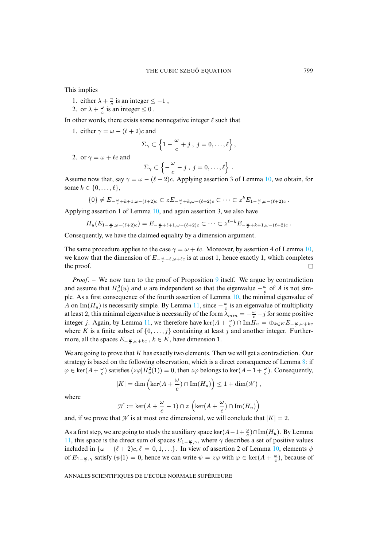This implies

- 1. either  $\lambda + \frac{\gamma}{c}$  is an integer  $\leq -1$ ,
- 2. or  $\lambda + \frac{\omega}{c}$  is an integer  $\leq 0$ .

In other words, there exists some nonnegative integer  $\ell$  such that

1. either  $\gamma = \omega - (\ell + 2)c$  and

$$
\Sigma_{\gamma} \subset \left\{1 - \frac{\omega}{c} + j \;,\; j = 0, \ldots, \ell\right\},\;
$$

2. or  $\gamma = \omega + \ell c$  and

$$
\Sigma_{\gamma} \subset \left\{ -\frac{\omega}{c} - j \;,\; j=0,\ldots,\ell \right\} \;.
$$

Assume now that, say  $\gamma = \omega - (\ell + 2)c$ . Applying assertion 3 of Lemma 10, we obtain, for some  $k \in \{0, \ldots, \ell\},\$ 

$$
\{0\} \neq E_{-\frac{\omega}{c}+k+1,\omega-(\ell+2)c} \subset zE_{-\frac{\omega}{c}+k,\omega-(\ell+2)c} \subset \cdots \subset z^k E_{1-\frac{\omega}{c},\omega-(\ell+2)c}.
$$

Applying assertion 1 of Lemma 10, and again assertion 3, we also have

$$
H_u(E_{1-\frac{\omega}{c},\omega-(\ell+2)c})=E_{-\frac{\omega}{c}+\ell+1,\omega-(\ell+2)c}\subset\cdots\subset z^{\ell-k}E_{-\frac{\omega}{c}+k+1,\omega-(\ell+2)c}.
$$

Consequently, we have the claimed equality by a dimension argument.

The same procedure applies to the case  $\gamma = \omega + \ell c$ . Moreover, by assertion 4 of Lemma 10, we know that the dimension of  $E_{-\frac{\omega}{c}-\ell,\omega+\ell c}$  is at most [1](#page-35-2), hence exactly 1, which completes the proof.

*Proof.* – We now turn to the proof of Pro[pos](#page-38-0)ition 9 itself. We argue by contradiction and assume that  $H_u^2(u)$  and u are independent so that the eigenvalue  $-\frac{\omega}{c}$  of A is not simple. As a first consequence o[f th](#page-38-0)e fourth assertion of Lemma 10, the minimal eigenvalue of A on Im( $H_u$ ) is necessarily simple. By Lemma 11, since  $-\frac{\omega}{c}$  is an eigenvalue of multiplicity at least 2, this minimal eigenvalue is necessarily of the form  $\lambda_{min} = -\frac{\omega}{c} - j$  for some positive integer j. Again, by Lemma 11, we therefore have ker $(A + \frac{\omega}{c}) \cap \text{Im} H_u = \bigoplus_{k \in K} E_{-\frac{\omega}{c}, \omega + kc}$ where K is a finite subset of  $\{0, \ldots, j\}$  containing at least j and ano[the](#page-37-0)r integer. Furthermore, all the spaces  $E_{-\frac{\omega}{c}, \omega + kc}$ ,  $k \in K$ , have dimension 1.

We are going to prove that K has exactly two elements. Then we will get a contradiction. Our strategy is based on the following observation, which is a direct consequence of Lemma 8: if  $\varphi \in \ker(A + \frac{\omega}{c})$  satisfies  $(z\varphi|H_u^2(1)) = 0$ , then  $z\varphi$  belongs to  $\ker(A - 1 + \frac{\omega}{c})$ . Consequently,

$$
|K| = \dim \left(\ker(A + \frac{\omega}{c}) \cap \text{Im}(H_u)\right) \le 1 + \dim(\mathcal{N}),
$$

where

$$
\mathcal{N} := \ker(A + \frac{\omega}{c} - 1) \cap z \left( \ker(A + \frac{\omega}{c}) \cap \text{Im}(H_u) \right)
$$

[and](#page-38-0), if we prove that  $\mathcal N$  is at most one dimensional, we will conclude that  $|K| = 2$  $|K| = 2$  $|K| = 2$ .

As a first step, we are going to study the auxiliary space ker $(A-1+\frac{\omega}{c})\cap \text{Im}(H_u)$ . By Lemma 11, this space is the direct sum of spaces  $E_{1-\frac{\omega}{c},\gamma}$ , where  $\gamma$  describes a set of positive values included in  $\{\omega - (\ell + 2)c, \ell = 0, 1, ...\}$ . In view of assertion 2 of Lemma 10, elements  $\psi$ of  $E_{1-\frac{\omega}{c},\gamma}$  satisfy  $(\psi|1) = 0$ , hence we can write  $\psi = z\varphi$  with  $\varphi \in \ker(A + \frac{\omega}{c})$ , because of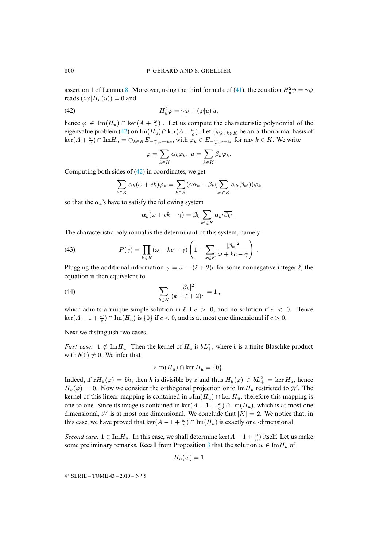assertion 1 of Lemma 8. Moreover, using the third formula of (41), the equation  $H_u^2 \psi = \gamma \psi$ reads  $(z\varphi|H_u(u)) = 0$  and

(42) 
$$
H_u^2 \varphi = \gamma \varphi + (\varphi|u) u,
$$

hence  $\varphi \in \text{Im}(H_u) \cap \text{ker}(A + \frac{\omega}{c})$ . Let us compute the characteristic polynomial of the eigenvalue problem (42) on  $\text{Im}(H_u) \cap \text{ker}(A + \frac{\omega}{c})$ . Let  $\{\varphi_k\}_{k \in K}$  be an orthonormal basis of  $\ker(A+\frac{\omega}{c})\cap \text{Im}H_u=\oplus_{k\in K}E_{-\frac{\omega}{c},\omega+kc}$  $\ker(A+\frac{\omega}{c})\cap \text{Im}H_u=\oplus_{k\in K}E_{-\frac{\omega}{c},\omega+kc}$  $\ker(A+\frac{\omega}{c})\cap \text{Im}H_u=\oplus_{k\in K}E_{-\frac{\omega}{c},\omega+kc}$ , with  $\varphi_k\in E_{-\frac{\omega}{c},\omega+kc}$  for any  $k\in K$ . We write

<span id="page-40-0"></span>
$$
\varphi = \sum_{k \in K} \alpha_k \varphi_k, \ u = \sum_{k \in K} \beta_k \varphi_k.
$$

Computing both sides of  $(42)$  in coordinates, we get

$$
\sum_{k \in K} \alpha_k(\omega + ck)\varphi_k = \sum_{k \in K} (\gamma \alpha_k + \beta_k(\sum_{k' \in K} \alpha_{k'} \overline{\beta_{k'}}))\varphi_k
$$

so that the  $\alpha_k$ 's have to satisfy the following system

<span id="page-40-1"></span>
$$
\alpha_k(\omega + ck - \gamma) = \beta_k \sum_{k' \in K} \alpha_{k'} \overline{\beta_{k'}}.
$$

The characteristic polynomial is the determinant of this system, namely

(43) 
$$
P(\gamma) = \prod_{k \in K} (\omega + kc - \gamma) \left( 1 - \sum_{k \in K} \frac{|\beta_k|^2}{\omega + kc - \gamma} \right).
$$

Plugging the additional information  $\gamma = \omega - (\ell + 2)c$  for some nonnegative integer  $\ell$ , the equation is then equivalent to

(44) 
$$
\sum_{k \in K} \frac{|\beta_k|^2}{(k+\ell+2)c} = 1,
$$

which admits a unique simple solution in  $\ell$  if  $c > 0$ , and no solution if  $c < 0$ . Hence  $\ker(A-1+\frac{\omega}{c})\cap \text{Im}(H_u)$  is  $\{0\}$  if  $c<0$ , and is at most one dimensional if  $c>0$ .

Next we distinguish two cases.

*First case:*  $1 \notin \text{Im} H_u$ . Then the kernel of  $H_u$  is  $bL_+^2$ , where b is a finite Blaschke product with  $b(0) \neq 0$ . We infer that

$$
z\mathrm{Im}(H_u) \cap \ker H_u = \{0\}.
$$

Indeed, if  $zH_u(\varphi) = bh$ , then h is divisible by z and thus  $H_u(\varphi) \in bL_+^2 = \ker H_u$ , hence  $H_u(\varphi) = 0$ . Now we consider the orthogonal projection onto  $\text{Im} H_u$  restricted to N. The kernel of this linear mapping is contained in  $zIm(H_u) \cap \text{ker } H_u$ , therefore this mapping is one to one. Since its image is contained in ker( $A - 1 + \frac{\omega}{c}$ ) ∩ Im( $H_u$ ), which is at most one dimensional,  $\mathcal N$  is at most one dimensional. We conclude that  $|K| = 2$ . We notice that, in this case, we have proved that  $\ker(A - 1 + \frac{\omega}{c}) \cap \text{Im}(H_u)$  $\ker(A - 1 + \frac{\omega}{c}) \cap \text{Im}(H_u)$  $\ker(A - 1 + \frac{\omega}{c}) \cap \text{Im}(H_u)$  is exactly one -dimensional.

*Second case:*  $1 \in \text{Im} H_u$ . In this case, we shall determine ker $(A - 1 + \frac{\omega}{c})$  itself. Let us make some preliminary remarks. Recall from Proposition 3 that the solution  $w \in \text{Im} H_u$  of

$$
H_u(w)=1
$$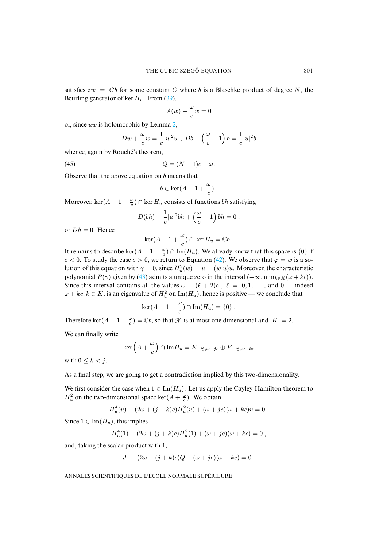satisfies  $zw = Cb$  for some constant C where b is a Blaschke product of degree N, the Beurling generator of ker  $H_u$ . From (3[9\),](#page-18-1)

$$
A(w) + \frac{\omega}{c}w = 0
$$

or, since  $\overline{u}w$  is holomorphic by Lemma 2,

$$
Dw + \frac{\omega}{c}w = \frac{1}{c}|u|^2w , Db + \left(\frac{\omega}{c} - 1\right)b = \frac{1}{c}|u|^2b
$$

whence, again by Rouché's theorem,

$$
(45) \t\t Q = (N-1)c + \omega.
$$

Observe that the above equation on  $b$  means that

$$
b \in \ker(A - 1 + \frac{\omega}{c}) \; .
$$

Moreover,  $\ker(A - 1 + \frac{\omega}{c}) \cap \ker H_u$  consists of functions *bh* satisfying

$$
D(bh) - \frac{1}{c}|u|^2bh + \left(\frac{\omega}{c} - 1\right)bh = 0,
$$

or  $Dh = 0$ . Hence

$$
\ker(A-1+\frac{\omega}{c})\cap\ker H_u=\mathbb{C}b.
$$

It remains to describe ker $(A - 1 + \frac{\omega}{c}) \cap \text{Im}(H_u)$  $(A - 1 + \frac{\omega}{c}) \cap \text{Im}(H_u)$  $(A - 1 + \frac{\omega}{c}) \cap \text{Im}(H_u)$ . We already know that this space is  $\{0\}$  if  $c < 0$ . To study the case  $c > 0$ , we return to Equation (42). We observe that  $\varphi = w$  is a solution of this equation with  $\gamma = 0$ , since  $H_u^2(w) = u = (w|u)u$ . Moreover, the characteristic polynomial  $P(\gamma)$  given by (43) admits a unique zero in the interval  $(-\infty, \min_{k \in K} (\omega + kc)).$ Since this interval contains all the values  $\omega - (\ell + 2)c$ ,  $\ell = 0, 1, \dots$ , and 0 — indeed  $\omega + kc, k \in K$ , is an eigenvalue of  $H_u^2$  on  $\text{Im}(H_u)$ , hence is positive — we conclude that

$$
\ker(A-1+\frac{\omega}{c})\cap \operatorname{Im}(H_u)=\{0\}.
$$

Therefore ker( $A - 1 + \frac{\omega}{c}$ ) =  $\mathbb{C}b$ , so that  $\mathcal N$  is at most one dimensional and  $|K| = 2$ .

We can finally write

$$
\ker\left(A+\frac{\omega}{c}\right) \cap \mathrm{Im}H_u = E_{-\frac{\omega}{c}, \omega + jc} \oplus E_{-\frac{\omega}{c}, \omega + kc}
$$

with  $0 \leq k \leq j$ .

As a final step, we are going to get a contradiction implied by this two-dimensionality.

We first consider the case when  $1 \in \text{Im}(H_u)$ . Let us apply the Cayley-Hamilton theorem to  $H_u^2$  on the two-dimensional space ker( $A + \frac{\omega}{c}$ ). We obtain

$$
H_u^4(u) - (2\omega + (j + k)c)H_u^2(u) + (\omega + jc)(\omega + kc)u = 0.
$$

Since  $1 \in \text{Im}(H_u)$ , this implies

$$
H_u^4(1) - (2\omega + (j + k)c)H_u^2(1) + (\omega + jc)(\omega + kc) = 0,
$$

and, taking the scalar product with 1,

$$
J_4 - (2\omega + (j+k)c)Q + (\omega + jc)(\omega + kc) = 0.
$$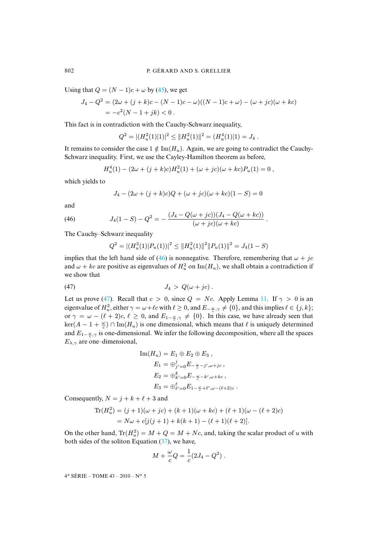Using that  $Q = (N - 1)c + \omega$  by (45), we get

$$
J_4 - Q^2 = (2\omega + (j + k)c - (N - 1)c - \omega)((N - 1)c + \omega) - (\omega + jc)(\omega + kc)
$$
  
=  $-c^2(N - 1 + jk) < 0$ .

This fact is in contradiction with the Cauchy-Schwarz inequality,

$$
Q^{2} = |(H_{u}^{2}(1)|1)|^{2} \leq ||H_{u}^{2}(1)||^{2} = (H_{u}^{4}(1)|1) = J_{4}.
$$

It remains to consider the case  $1 \notin \text{Im}(H_u)$ . Again, we are going to contradict the Cauchy-Schwarz inequality. First, we use the Cayley-Hamilton theorem as before,

$$
H_u^4(1) - (2\omega + (j + k)c)H_u^2(1) + (\omega + jc)(\omega + kc)P_u(1) = 0,
$$

which yields to

$$
J_4 - (2\omega + (j + k)c)Q + (\omega + jc)(\omega + kc)(1 - S) = 0
$$

and

(46) 
$$
J_4(1-S) - Q^2 = -\frac{(J_4 - Q(\omega + ic))(J_4 - Q(\omega + kc))}{(\omega + jc)(\omega + kc)}.
$$

The Cauchy–Schwarz inequality

<span id="page-42-0"></span>
$$
Q^{2} = |(H_{u}^{2}(1)|P_{u}(1))|^{2} \leq ||H_{u}^{2}(1)||^{2}||P_{u}(1)||^{2} = J_{4}(1-S)
$$

implies that the left hand side of (46) is nonnegative. Therefore, remembering that  $\omega + jc$ and  $\omega + kc$  are positive as eigenvalues of  $H_u^2$  on  $\text{Im}(H_u)$ , we shall obtain a contradiction if we show that

$$
(47) \t\t\t J_4 > Q(\omega + jc).
$$

Let us prove (47). Recall that  $c > 0$ , since  $Q = Nc$ . Apply Lemma 11. If  $\gamma > 0$  is an eigenvalue of  $H^2_u$ , either  $\gamma = \omega + \ell c$  with  $\ell \ge 0$ , and  $E_{-\frac{\omega}{c},\gamma} \ne \{0\}$ , and this implies  $\ell \in \{j,k\}$ ; or  $\gamma = \omega - (\ell + 2)c, \ell \ge 0$ , and  $E_{1-\frac{\omega}{c}, \gamma} \neq \{0\}$ . In this case, we have already seen that  $\ker(A - 1 + \frac{\omega}{c}) \cap \text{Im}(H_u)$  is one dimensional, which means that  $\ell$  is uniquely determined and  $E_{1-\frac{\omega}{c},\gamma}$  is one-dimensional. We infer the following decomposition, where all the spaces  $E_{\lambda,\gamma}$  are one–dimensional,

$$
\text{Im}(H_u) = E_1 \oplus E_2 \oplus E_3 ,
$$
  
\n
$$
E_1 = \oplus_{j'=0}^{j} E_{-\frac{\omega}{c} - j', \omega + jc} ,
$$
  
\n
$$
E_2 = \oplus_{k'=0}^{k} E_{-\frac{\omega}{c} - k', \omega + kc} ,
$$
  
\n
$$
E_3 = \oplus_{\ell'=0}^{\ell} E_{1-\frac{\omega}{c} + \ell', \omega - (\ell+2)c}
$$

.

Consequently,  $N = j + k + \ell + 3$  and

$$
\text{Tr}(H_u^2) = (j+1)(\omega + jc) + (k+1)(\omega + kc) + (\ell+1)(\omega - (\ell+2)c)
$$
  
=  $N\omega + c[j(j+1) + k(k+1) - (\ell+1)(\ell+2)].$ 

On the other hand,  $\text{Tr}(H_u^2) = M + Q = M + Nc$ , and, taking the scalar product of u with both sides of the soliton Equation (37), we have,

$$
M + \frac{\omega}{c}Q = \frac{1}{c}(2J_4 - Q^2).
$$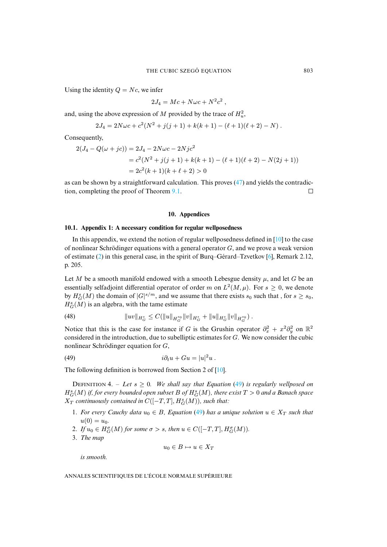Using the identity  $Q = Nc$ , we infer

$$
2J_4 = Mc + N\omega c + N^2 c^2
$$

,

and, using the above expression of M provided by the trace of  $H_u^2$ ,

$$
2J_4 = 2N\omega c + c^2(N^2 + j(j+1) + k(k+1) - (\ell+1)(\ell+2) - N).
$$

Consequently,

$$
2(J_4 - Q(\omega + jc)) = 2J_4 - 2N\omega c - 2Njc^2
$$
  
=  $c^2(N^2 + j(j+1) + k(k+1) - (\ell+1)(\ell+2) - N(2j+1))$   
=  $2c^2(k+1)(k+\ell+2) > 0$ 

as can be shown by a straightforward calculation. This proves (47) and yields the contradiction, completing the proof of Theorem 9.1.  $\Box$ 

#### **10. Appendices**

#### **10.1. Appe[ndi](#page-2-0)x 1: A necessary condition for regular wellposedness**

In this appendix, we extend the notion of regular wellposedness defined in  $[10]$  to the case of nonlinear Schrödinger equations with a general operator  $G$ , and we prove a weak version of estimate (2) in this general case, in the spirit of Burq–Gérard–Tzvetkov [6], Remark 2.12, p. 205.

Let M be a smooth manifold endowed with a smooth Lebesgue density  $\mu$ , and let G be an essentially selfadjoint differential operator of order m on  $L^2(M,\mu)$ . For  $s \geq 0$ , we denote by  $H_G^s(M)$  the domain of  $|G|^{s/m}$ , and we assume that there exists  $s_0$  such that, for  $s \geq s_0$ ,  $H_G^s(M)$  is an algebra, with the tame estimate

(48) 
$$
||uv||_{H_G^s} \leq C(||u||_{H_G^{s_0}} ||v||_{H_G^s} + ||u||_{H_G^s} ||v||_{H_G^{s_0}}).
$$

<span id="page-43-0"></span>Notice that this is the case for instance if G is the Grushin operator  $\partial_x^2 + x^2 \partial_y^2$  on  $\mathbb{R}^2$ considered in the introduction, due to subelliptic estimates for G. We now consider the cubic nonlinear Schrödinger equation for G,

(49) 
$$
i\partial_t u + Gu = |u|^2 u.
$$

The following definition is borrowed from Section 2 of [10].

**DEFINITION 4.** – Let  $s \geq 0$ . We shall say t[hat](#page-43-0) Equation (49) is regularly wellposed on  $H^s_G(M)$  if, for every bounded open subset B of  $H^s_G(M)$ , there exist  $T > 0$  and a Banach space  $X_T$  continuously contained in  $C([-T, T], H_G^s(M))$ , such that:

- 1. *For every Cauchy data*  $u_0 \in B$ *, Equation* (49) *has a unique solution*  $u \in X_T$  *such that*  $u(0) = u_0$ .
- 2. If  $u_0 \in H_G^{\sigma}(M)$  for some  $\sigma > s$ , then  $u \in C([-T, T], H_G^{\sigma}(M))$ .
- 3. *The map*

$$
u_0 \in B \mapsto u \in X_T
$$

*is smooth.*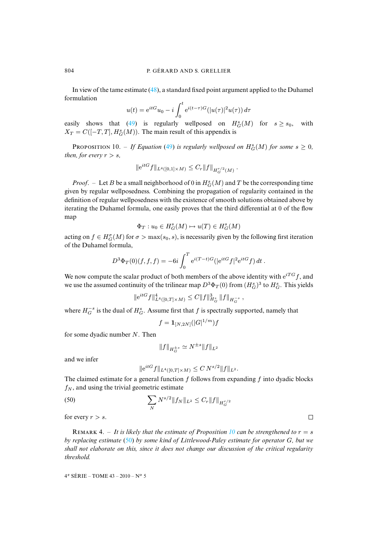In view of the tame estimate (48), a standard fixed point argument applied to the Duhamel formulation

$$
u(t) = e^{itG}u_0 - i \int_0^t e^{i(t-\tau)G} (|u(\tau)|^2 u(\tau)) d\tau
$$

<span id="page-44-0"></span>easily shows that (49) is reg[ular](#page-43-0)ly wellposed on  $H_G^s(M)$  for  $s \geq s_0$ , with  $X_T = C([-T, T], H_G^s(M))$ . The main result of this appendix is

PROPOSITION 10. – If Equation (49) is regularly wellposed on  $H^s_G(M)$  for some  $s \geq 0$ , *then, for every*  $r > s$ *,* 

$$
\|e^{itG}f\|_{L^4([0,1]\times M)} \leq C_r \|f\|_{H_G^{r/2}(M)}.
$$

*Proof.* – Let *B* be a small neighborhood of 0 in  $H_G^s(M)$  and *T* be the corresponding time given by regular wellposedness. Combining the propagation of regularity contained in the definition of regular wellposedness with the existence of smooth solutions obtained above by iterating the Duhamel formula, one easily proves that the third differential at 0 of the flow map

$$
\Phi_T: u_0 \in H^s_G(M) \mapsto u(T) \in H^s_G(M)
$$

acting on  $f \in H_G^{\sigma}(M)$  for  $\sigma > \max(s_0, s)$ , is necessarily given by the following first iteration of the Duhamel formula,

$$
D^3 \Phi_T(0)(f, f, f) = -6i \int_0^T e^{i(T-t)G} (|e^{itG} f|^2 e^{itG} f) dt.
$$

We now compute the scalar product of both members of the above identity with  $e^{i T G} f$ , and we use the assumed continuity of the trilinear map  $D^3 \Phi_T(0)$  from  $(H_G^s)^3$  to  $H_G^s$ . This yields

$$
\|e^{itG}f\|_{L^4([0,T]\times M)}^4 \leq C \|f\|_{H_G^s}^3 \|f\|_{H_G^{-s}} ,
$$

where  $H_G^{-s}$  is the dual of  $H_G^s$ . Assume first that f is spectrally supported, namely that

$$
f = \mathbf{1}_{[N,2N]}(|G|^{1/m})f
$$

for some dyadic number  $N$ . Then

$$
||f||_{H_G^{\pm s}} \simeq N^{\pm s} ||f||_{L^2}
$$

and we infer

$$
\|e^{itG}f\|_{L^4([0,T]\times M)} \leq C N^{s/2} \|f\|_{L^2}.
$$

The claimed estimate for a general function  $f$  follows from expanding  $f$  into dyadic blocks  $f_N$ , and using the trivial geometric estimate

(50) 
$$
\sum_{N} N^{s/2} \|f_{N}\|_{L^{2}} \leq C_{r} \|f\|_{H_{G}^{r/2}}
$$

for every  $r > s$ .

REMARK 4. – It is likely that the estimate of Proposition 10 can be strengthened to  $r = s$ *by replacing estimate* (50) *by some kind of Littlewood-Paley estimate for operator* G*, but we shall not elaborate on this, since it does not change our discussion of the critical regularity threshold.*

 $\Box$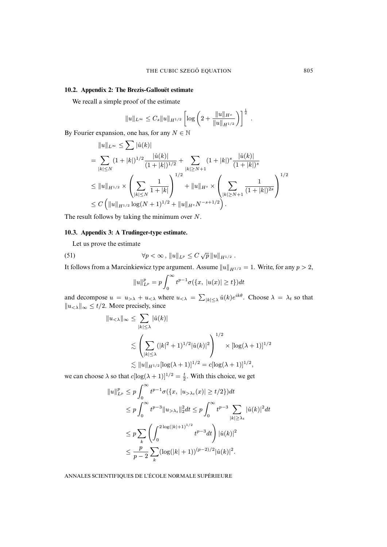#### **10.2. Appendix 2: The Brezis-Gallouët estimate**

We recall a simple proof of the estimate

$$
||u||_{L^{\infty}} \leq C_s ||u||_{H^{1/2}} \left[ \log \left( 2 + \frac{||u||_{H^s}}{||u||_{H^{1/2}}} \right) \right]^{\frac{1}{2}}
$$

.

By Fourier expansion, one has, for any  $N \in \mathbb{N}$ 

$$
||u||_{L^{\infty}} \leq \sum | \hat{u}(k) |
$$
  
= 
$$
\sum_{|k| \leq N} (1+|k|)^{1/2} \frac{|\hat{u}(k)|}{(1+|k|)^{1/2}} + \sum_{|k| \geq N+1} (1+|k|)^{s} \frac{|\hat{u}(k)|}{(1+|k|)^{s}}
$$
  

$$
\leq ||u||_{H^{1/2}} \times \left(\sum_{|k| \leq N} \frac{1}{1+|k|}\right)^{1/2} + ||u||_{H^{s}} \times \left(\sum_{|k| \geq N+1} \frac{1}{(1+|k|)^{2s}}\right)^{1/2}
$$
  

$$
\leq C \left(||u||_{H^{1/2}} \log(N+1)^{1/2} + ||u||_{H^{s}} N^{-s+1/2}\right).
$$

The result follows by taking the minimum over N.

#### **10.3. Appendix 3: A Trudinger-type estimate.**

Let us prove the estimate

(51) 
$$
\forall p < \infty, \|u\|_{L^p} \leq C \sqrt{p} \|u\|_{H^{1/2}}.
$$

It follows from a Marcinkiewicz type argument. Assume  $||u||_{H^{1/2}} = 1$ . Write, for any  $p > 2$ ,

<span id="page-45-0"></span>
$$
||u||_{L^{p}}^{p} = p \int_{0}^{\infty} t^{p-1} \sigma(\{x, |u(x)| \ge t\}) dt
$$

and decompose  $u = u_{\geq \lambda} + u_{\leq \lambda}$  where  $u_{\leq \lambda} = \sum_{|k| \leq \lambda} \hat{u}(k) e^{ik\theta}$ . Choose  $\lambda = \lambda_t$  so that  $||u<sub>≤</sub>||<sub>∞</sub> ≤ t/2$ . More precisely, since

$$
||u_{< \lambda}||_{\infty} \le \sum_{|k| \le \lambda} |\hat{u}(k)|
$$
  
\$\le \left( \sum\_{|k| \le \lambda} (|k|^2 + 1)^{1/2} |\hat{u}(k)|^2 \right)^{1/2} \times [\log(\lambda + 1)]^{1/2}\$  
\$\le ||u||\_{H^{1/2}} [\log(\lambda + 1)]^{1/2} = c [\log(\lambda + 1)]^{1/2}\$,

we can choose  $\lambda$  so that  $c[\log(\lambda + 1)]^{1/2} = \frac{t}{2}$ . With this choice, we get

$$
||u||_{L^{p}}^{p} \leq p \int_{0}^{\infty} t^{p-1} \sigma(\{x, |u_{>\lambda_{t}}(x)| \geq t/2\}) dt
$$
  
\n
$$
\leq p \int_{0}^{\infty} t^{p-3} ||u_{>\lambda_{t}}||_{2}^{2} dt \leq p \int_{0}^{\infty} t^{p-3} \sum_{|k| \geq \lambda_{t}} |\hat{u}(k)|^{2} dt
$$
  
\n
$$
\leq p \sum_{k} \left( \int_{0}^{2 \log(|k|+1)^{1/2}} t^{p-3} dt \right) |\hat{u}(k)|^{2}
$$
  
\n
$$
\leq \frac{p}{p-2} \sum_{k} (\log(|k|+1))^{(p-2)/2} |\hat{u}(k)|^{2}.
$$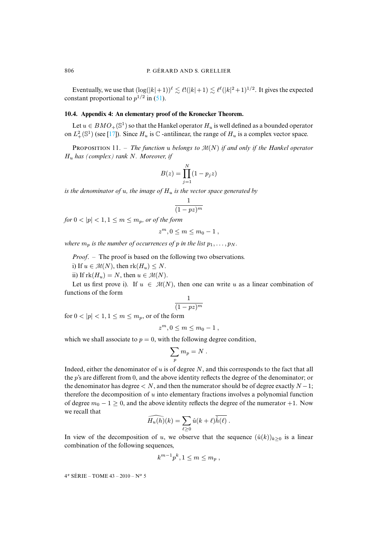Eventually, we use that  $(\log(|k|+1))^{\ell} \lesssim \ell!(|k|+1) \lesssim \ell^{\ell}(|k|^2+1)^{1/2}$ . It gives the expected constant proportional to  $p^{1/2}$  in (51).

# **10.4. Appendix [4: A](#page-49-17)n elementary proof of the Kronecker Theorem.**

Let  $u \in BMO_+({\mathbb{S}}^1)$  so that the Hankel operator  $H_u$  is well defined as a bounded operator on  $L^2_+(\mathbb{S}^1)$  (see [17]). Since  $H_u$  is  $\mathbb C$  -antilinear, the range of  $H_u$  is a complex vector space.

PROPOSITION 11. – *The function u belongs to*  $\mathcal{M}(N)$  *if and only if the Hankel operator* H<sup>u</sup> *has (complex) rank* N*. Moreover, if*

$$
B(z) = \prod_{j=1}^{N} (1 - p_j z)
$$

*is the denominator of u, the image of*  $H_u$  *is the vector space generated by* 

$$
\frac{1}{(1 - pz)^m}
$$

*for*  $0 < |p| < 1, 1 \le m \le m_p$ *, or of the form* 

$$
z^m, 0 \le m \le m_0 - 1
$$

*where*  $m_p$  *is the number of occurrences of* p *in the list*  $p_1, \ldots, p_N$ *.* 

*Proof*. – The proof is based on the following two observations.

i) If  $u \in \mathcal{M}(N)$ , then  $rk(H_u) \leq N$ .

ii) If  $rk(H_u) = N$ , then  $u \in \mathcal{M}(N)$ .

Let us first prove i). If  $u \in \mathcal{M}(N)$ , then one can write u as a linear combination of functions of the form

$$
\frac{1}{(1 - pz)^m}
$$

for  $0 < |p| < 1, 1 \le m \le m_p$ , or of the form

$$
z^m, 0 \le m \le m_0 - 1
$$

which we shall associate to  $p = 0$ , with the following degree condition.

$$
\sum_p m_p = N \; .
$$

Indeed, either the denominator of  $u$  is of degree  $N$ , and this corresponds to the fact that all the p's are different from 0, and the above identity reflects the degree of the denominator; or the denominator has degree  $\lt N$ , and then the numerator should be of degree exactly  $N-1$ ; therefore the decomposition of  $u$  into elementary fractions involves a polynomial function of degree  $m_0 - 1 \ge 0$ , and the above identity reflects the degree of the numerator +1. Now we recall that

$$
\widehat{H_u(h)}(k) = \sum_{\ell \ge 0} \hat{u}(k+\ell) \overline{\hat{h}(\ell)}.
$$

In view of the decomposition of u, we observe that the sequence  $(\hat{u}(k))_{k\geq 0}$  is a linear combination of the following sequences,

$$
k^{m-1}p^k, 1 \le m \le m_p,
$$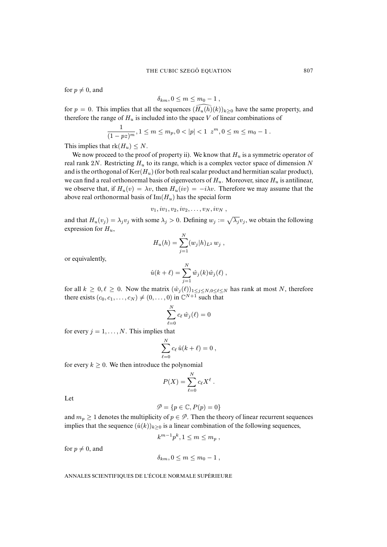for  $p \neq 0$ , and

$$
\delta_{km}, 0 \leq m \leq m_0 - 1 ,
$$

for  $p = 0$ . This implies that all the sequences  $(\tilde{H}_u(h)(k))_{k>0}$  have the same property, and therefore the range of  $H_u$  is included into the space V of linear combinations of

$$
\frac{1}{(1 - pz)^m}, 1 \le m \le m_p, 0 < |p| < 1 \ z^m, 0 \le m \le m_0 - 1.
$$

This implies that  $rk(H_u) \leq N$ .

We now proceed to the proof of property ii). We know that  $H_u$  is a symmetric operator of real rank 2N. Restricting  $H_u$  to its range, which is a complex vector space of dimension N and is the orthogonal of  $Ker(H_u)$  (for both real scalar product and hermitian scalar product), we can find a real orthonormal basis of eigenvectors of  $H_u$ . Moreover, since  $H_u$  is antilinear, we observe that, if  $H_u(v) = \lambda v$ , then  $H_u(iv) = -i\lambda v$ . Therefore we may assume that the above real orthonormal basis of  $\text{Im}(H_u)$  has the special form

$$
v_1, iv_1, v_2, iv_2, \ldots, v_N, iv_N,
$$

and that  $H_u(v_j) = \lambda_j v_j$  with some  $\lambda_j > 0$ . Defining  $w_j := \sqrt{\lambda_j} v_j$ , we obtain the following expression for  $H_u$ ,

$$
H_u(h) = \sum_{j=1}^N (w_j|h)_{L^2} w_j ,
$$

or equivalently,

$$
\hat{u}(k+\ell) = \sum_{j=1}^N \hat{w}_j(k)\hat{w}_j(\ell) ,
$$

for all  $k \ge 0, \ell \ge 0$ . Now the matrix  $(\hat{w}_j(\ell))_{1 \le j \le N, 0 \le \ell \le N}$  has rank at most N, therefore there exists  $(c_0, c_1, \ldots, c_N) \neq (0, \ldots, 0)$  in  $\mathbb{C}^{N+1}$  such that

$$
\sum_{\ell=0}^N c_\ell\,\hat{w}_j(\ell)=0
$$

for every  $j = 1, \ldots, N$ . This implies that

$$
\sum_{\ell=0}^N c_\ell \,\hat{u}(k+\ell) = 0 \;,
$$

for every  $k \geq 0$ . We then introduce the polynomial

$$
P(X) = \sum_{\ell=0}^{N} c_{\ell} X^{\ell} .
$$

Let

$$
\mathcal{P} = \{p \in \mathbb{C}, P(p) = 0\}
$$

and  $m_p \geq 1$  denotes the multiplicity of  $p \in \mathcal{P}$ . Then the theory of linear recurrent sequences implies that the sequence  $(\hat{u}(k))_{k>0}$  is a linear combination of the following sequences,

$$
k^{m-1}p^k, 1 \le m \le m_p,
$$

for  $p \neq 0$ , and

$$
\delta_{km}, 0 \leq m \leq m_0 - 1 ,
$$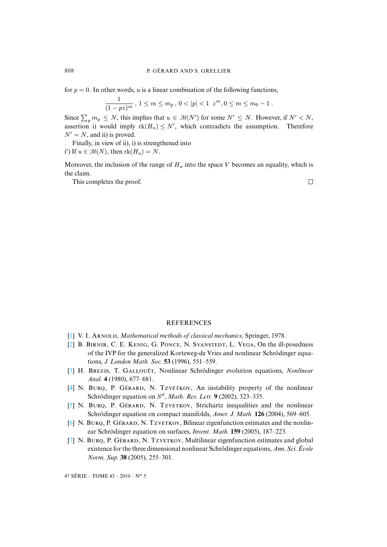for  $p = 0$ . In other words, u is a linear combination of the following functions,

$$
\frac{1}{(1-pz)^m}, 1 \le m \le m_p, 0 < |p| < 1 \ z^m, 0 \le m \le m_0 - 1.
$$

Since  $\sum_p m_p \leq N$ , this implies that  $u \in \mathcal{M}(N')$  for some  $N' \leq N$ . However, if  $N' < N$ , assertion i) would imply  $rk(H_u) \leq N'$ , which contradicts the assumption. Therefore  $N' = N$ , and ii) is proved.

Finally, in view of ii), i) is strengthened into

i') If  $u \in \mathcal{M}(N)$ , then  $\text{rk}(H_u) = N$ .

Moreover, the inclusion of the range of  $H_u$  into the space V becomes an equality, which is the claim.

 $\Box$ 

This completes the proof.

#### **REFERENCES**

- <span id="page-48-2"></span>[1] V. I. ARNOLD, *Mathematical methods of classical mechanics*, Springer, 1978.
- [\[2\]](http://smf.emath.fr/Publications/AnnalesENS/4_43/html/ens_ann-sc_43_5.html#3) B. BIRNIR, C. E. KENIG, G. PONCE, N. SVANSTEDT, L. VEGA, On the ill-posedness of the IVP for the generalized Korteweg-de Vries and nonlinear Schrödinger equations, *J. London Math. Soc.* **53** (1996), 551–559.
- <span id="page-48-1"></span>[3] H. BREZIS, T. GALLOUËT, Nonlinear Schrödinger evolution equations, *Nonlinear Anal.* **4** (1980), 677–681.
- <span id="page-48-0"></span>[4] N. BURO, P. GÉRARD, N. TZVETKOV, An instability property of the nonlinear Schrödinger equation on S d , *Math. Res. Lett.* **9** (2002), 323–335.
- [5] N. BURQ, P. GÉRARD, N. TZVETKOV, Strichartz inequalities and the nonlinear Schrödinger equation on compact manifolds, *Amer. J. Math.* **126** (2004), 569–605.
- [6] N. BURQ, P. GÉRARD, N. TZVETKOV, Bilinear eigenfunction estimates and the nonlinear Schrödinger equation on surfaces, *Invent. Math.* **159** (2005), 187–223.
- [7] N. BURQ, P. GÉRARD, N. TZVETKOV, Multilinear eigenfunction estimates and global existence for the three dimensional nonlinear Schrödinger equations, *Ann. Sci. École Norm. Sup.* **38** (2005), 255–301.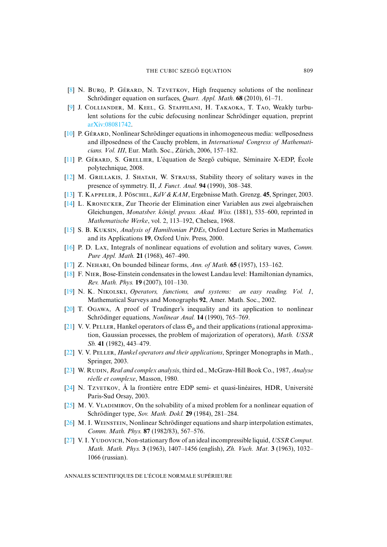- <span id="page-49-6"></span><span id="page-49-3"></span>[8] N. BURQ, P. GÉRARD, N. TZVETKOV, High frequency solutions of the nonlinear [Schrödinger equ](http://arxiv.org/abs/08081742)ation on surfaces, *Quart. Appl. Math.* **68** (2010), 61–71.
- <span id="page-49-0"></span>[\[9\]](http://smf.emath.fr/Publications/AnnalesENS/4_43/html/ens_ann-sc_43_5.html#10) J. COLLIANDER, M. KEEL, G. STAFFILANI, H. TAKAOKA, T. TAO, Weakly turbulent solutions for the cubic defocusing nonlinear Schrödinger equation, preprint arXiv:08081742.
- <span id="page-49-1"></span>[\[10\]](http://smf.emath.fr/Publications/AnnalesENS/4_43/html/ens_ann-sc_43_5.html#11) P. Gérard, Nonlinear Schrödinger equations in inhomogeneous media: wellposedness and illposedness of the Cauchy problem, in *International Congress of Mathematicians. Vol. III*, Eur. Math. Soc., Zürich, 2006, 157–182.
- <span id="page-49-7"></span>[11] P. Gérard, S. Greller, L'équation de Szegő cubique, Séminaire X-EDP, École polytechnique, 2008.
- <span id="page-49-13"></span>[\[12\]](http://smf.emath.fr/Publications/AnnalesENS/4_43/html/ens_ann-sc_43_5.html#14) M. GRILLAKIS, J. SHATAH, W. STRAUSS, Stability theory of solitary waves in the presence of symmetry. II, *J. Funct. Anal.* **94** (1990), 308–348.
- [13] T. K, J. P, *KdV & KAM*, Ergebnisse Math. Grenzg. **45**, Springer, 2003.
- [\[14\]](http://smf.emath.fr/Publications/AnnalesENS/4_43/html/ens_ann-sc_43_5.html#15) L. KRONECKER, Zur Theorie der Elimination einer Variablen aus zwei algebraischen Gleichungen, *Monatsber. königl. preuss. Akad. Wiss.* (1881), 535–600, reprinted in *Mathematische Werke*, vol. 2, 113–192, Chelsea, 1968.
- <span id="page-49-17"></span><span id="page-49-11"></span>[15] S. B. K, *Analysis of Hamiltonian PDEs*, Oxford Lecture Series in Mathematics and its Applications **19**, Oxford Univ. Press, 2000.
- <span id="page-49-2"></span>[\[16\]](http://smf.emath.fr/Publications/AnnalesENS/4_43/html/ens_ann-sc_43_5.html#18) P. D. Lax, Integrals of nonlinear equations of evolution and solitary waves, *Comm. Pure Appl. Math.* **21** (1968), 467–490.
- <span id="page-49-5"></span>[\[17\]](http://smf.emath.fr/Publications/AnnalesENS/4_43/html/ens_ann-sc_43_5.html#19) Z. NEHARI, On bounded bilinear forms, *Ann. of Math.* **65** (1957), 153-162.
- <span id="page-49-10"></span> $[18]$  F. NIER, Bose-Einstein condensates in the lowest Landau level: Hamiltonian dynamics, *Rev. Math. Phys.* **19** (2007), 101–130.
- <span id="page-49-12"></span>[19] N. K. NIKOLSKI, *Operators, functions, and systems: an easy reading. Vol. 1*, Mathematical Surveys and Monographs **92**, Amer. Math. Soc., 2002.
- [20] T. OGAWA, A proof of Trudinger's inequality and its application to nonlinear Schrödinger equations, *Nonlinear Anal.* **14** (1990), 765–769.
- <span id="page-49-4"></span>[\[21\]](http://smf.emath.fr/Publications/AnnalesENS/4_43/html/ens_ann-sc_43_5.html#22) V. V. PELLER, Hankel operators of class  $\mathfrak{S}_p$  and their applications (rational approximation, Gaussian processes, the problem of majorization of operators), *Math. USSR Sb.* **41** (1982), 443–479.
- <span id="page-49-16"></span><span id="page-49-15"></span>[22] V. V. PELLER, *Hankel operators and their applications*, Springer Monographs in Math., Springer, 2003.
- <span id="page-49-9"></span>[23] W. R, *Real and complex analysis*, third ed., McGraw-Hill Book Co., 1987, *Analyse réelle et complexe*, Masson, 1980.
- <span id="page-49-14"></span>[24] N. Tzverkov,  $\hat{A}$  la frontière entre EDP semi- et quasi-linéaires, HDR, Université Paris-Sud Orsay, 2003.
- <span id="page-49-8"></span> $[25]$  M. V. VLADIMIROV, On the solvability of a mixed problem for a nonlinear equation of Schrödinger type, *Sov. Math. Dokl.* **29** (1984), 281–284.
- [26] M. I. WEINSTEIN, Nonlinear Schrödinger equations and sharp interpolation estimates, *Comm. Math. Phys.* **87** (1982/83), 567–576.
- [27] V. I. Yupovich, Non-stationary flow of an ideal incompressible liquid, *USSR Comput. Math. Math. Phys.* **3** (1963), 1407–1456 (english), *Zh. Vuch. Mat.* **3** (1963), 1032– 1066 (russian).